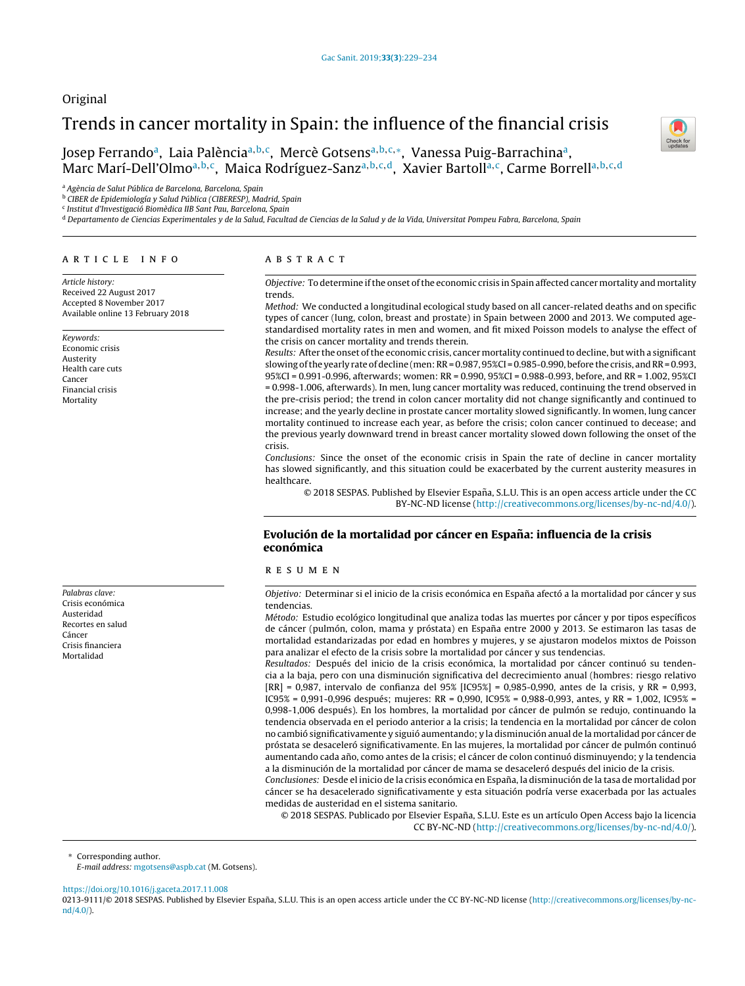# Original

# Trends in cancer mortality in Spain: the influence of the financial crisis



Josep Ferrando<sup>a</sup>, Laia Palència<sup>a,b,c</sup>, Mercè Gotsens<sup>a,b,c,</sup>\*, Vanessa Puig-Barrachina<sup>a</sup>, Marc Marí-Dell'Olmo<sup>a,b,c</sup>, Maica Rodríguez-Sanz<sup>a,b,c,d</sup>, Xavier Bartoll<sup>a,c</sup>, Carme Borrell<sup>a,b,c,d</sup>

<sup>a</sup> Agència de Salut Pública de Barcelona, Barcelona, Spain

<sup>b</sup> CIBER de Epidemiología y Salud Pública (CIBERESP), Madrid, Spain

<sup>c</sup> Institut d'Investigació Biomèdica IIB Sant Pau, Barcelona, Spain

<sup>d</sup> Departamento de Ciencias Experimentales y de la Salud, Facultad de Ciencias de la Salud y de la Vida, Universitat Pompeu Fabra, Barcelona, Spain

## a r t i c l e i n f o

Article history: Received 22 August 2017 Accepted 8 November 2017 Available online 13 February 2018

Keywords: Economic crisis Austerity Health care cuts Cancer Financial crisis Mortality

Palabras clave: Crisis económica Austeridad Recortes en salud Cáncer Crisis financiera Mortalidad

## A B S T R A C T

Objective: To determine if the onset of the economic crisis in Spain affected cancer mortality and mortality trends.

Method: We conducted a longitudinal ecological study based on all cancer-related deaths and on specific types of cancer (lung, colon, breast and prostate) in Spain between 2000 and 2013. We computed agestandardised mortality rates in men and women, and fit mixed Poisson models to analyse the effect of the crisis on cancer mortality and trends therein.

Results: After the onset ofthe economic crisis, cancer mortality continued to decline, but with a significant slowing of the yearly rate of decline (men:  $RR = 0.987, 95\% CI = 0.985$ -0.990, before the crisis, and  $RR = 0.993$ , 95%CI = 0.991-0.996, afterwards; women: RR = 0.990, 95%CI = 0.988-0.993, before, and RR = 1.002, 95%CI = 0.998-1.006, afterwards). In men, lung cancer mortality was reduced, continuing the trend observed in the pre-crisis period; the trend in colon cancer mortality did not change significantly and continued to increase; and the yearly decline in prostate cancer mortality slowed significantly. In women, lung cancer mortality continued to increase each year, as before the crisis; colon cancer continued to decease; and the previous yearly downward trend in breast cancer mortality slowed down following the onset of the crisis.

Conclusions: Since the onset of the economic crisis in Spain the rate of decline in cancer mortality has slowed significantly, and this situation could be exacerbated by the current austerity measures in healthcare.

© 2018 SESPAS. Published by Elsevier España, S.L.U. This is an open access article under the CC BY-NC-ND license [\(http://creativecommons.org/licenses/by-nc-nd/4.0/](http://creativecommons.org/licenses/by-nc-nd/4.0/)).

## Evolución de la mortalidad por cáncer en España: influencia de la crisis económica

## r e s u m e n

Objetivo: Determinar si el inicio de la crisis económica en España afectó a la mortalidad por cáncer y sus tendencias.

Método: Estudio ecológico longitudinal que analiza todas las muertes por cáncer y por tipos específicos de cáncer (pulmón, colon, mama y próstata) en España entre 2000 y 2013. Se estimaron las tasas de mortalidad estandarizadas por edad en hombres y mujeres, y se ajustaron modelos mixtos de Poisson para analizar el efecto de la crisis sobre la mortalidad por cáncer y sus tendencias.

Resultados: Después del inicio de la crisis económica, la mortalidad por cáncer continuó su tendencia a la baja, pero con una disminución significativa del decrecimiento anual (hombres: riesgo relativo [RR] = 0,987, intervalo de confianza del 95% [IC95%] = 0,985-0,990, antes de la crisis, y RR = 0,993, IC95% = 0,991-0,996 después; mujeres: RR = 0,990, IC95% = 0,988-0,993, antes, y RR = 1,002, IC95% = 0,998-1,006 después). En los hombres, la mortalidad por cáncer de pulmón se redujo, continuando la tendencia observada en el periodo anterior a la crisis; la tendencia en la mortalidad por cáncer de colon no cambió significativamente y siguió aumentando; y la disminución anual de la mortalidad por cáncer de próstata se desaceleró significativamente. En las mujeres, la mortalidad por cáncer de pulmón continuó aumentando cada año, como antes de la crisis; el cáncer de colon continuó disminuyendo; y la tendencia a la disminución de la mortalidad por cáncer de mama se desaceleró después del inicio de la crisis.

Conclusiones: Desde el inicio de la crisis económica en España, la disminución de la tasa de mortalidad por cáncer se ha desacelerado significativamente y esta situación podría verse exacerbada por las actuales medidas de austeridad en el sistema sanitario.

© 2018 SESPAS. Publicado por Elsevier España, S.L.U. Este es un artículo Open Access bajo la licencia CC BY-NC-ND [\(http://creativecommons.org/licenses/by-nc-nd/4.0/](http://creativecommons.org/licenses/by-nc-nd/4.0/)).

Corresponding author.

E-mail address: [mgotsens@aspb.cat](mailto:mgotsens@aspb.cat) (M. Gotsens).

<https://doi.org/10.1016/j.gaceta.2017.11.008>

0213-9111/© 2018 SESPAS. Published by Elsevier España, S.L.U. This is an open access article under the CC BY-NC-ND license [\(http://creativecommons.org/licenses/by-nc](http://creativecommons.org/licenses/by-nc-nd/4.0/)[nd/4.0/\)](http://creativecommons.org/licenses/by-nc-nd/4.0/).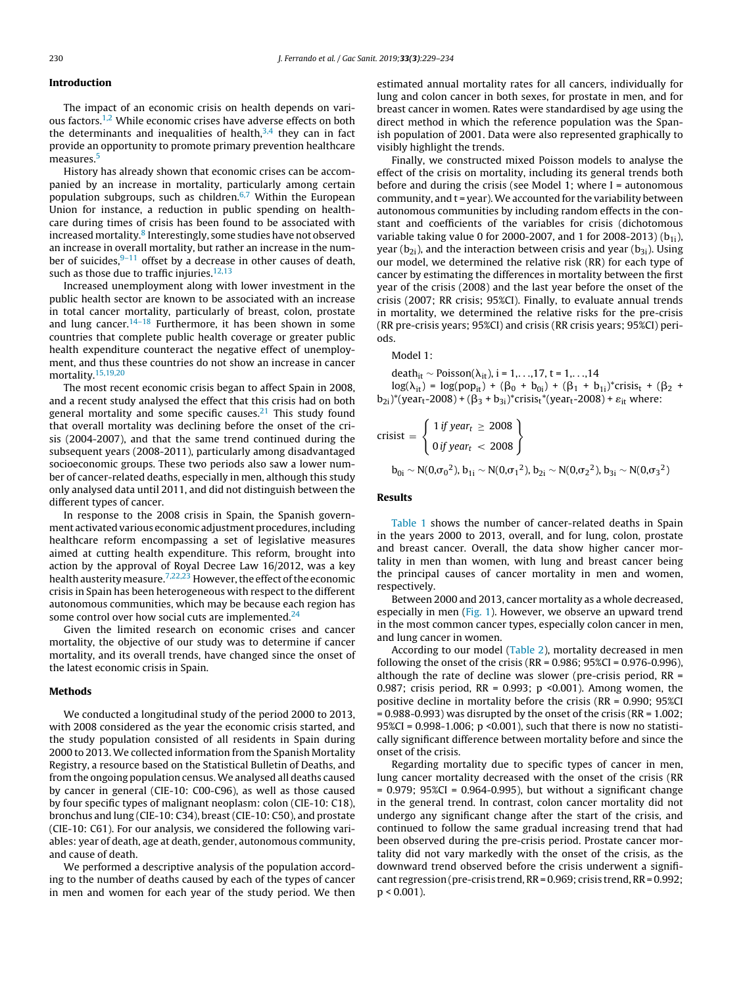## Introduction

The impact of an economic crisis on health depends on various factors.[1,2](#page-4-0) While economic crises have adverse effects on both the determinants and inequalities of health, $3,4$  they can in fact provide an opportunity to promote primary prevention healthcare measures.[5](#page-4-0)

History has already shown that economic crises can be accompanied by an increase in mortality, particularly among certain population subgroups, such as children. $6,7$  Within the European Union for instance, a reduction in public spending on healthcare during times of crisis has been found to be associated with increased mortality.<sup>8</sup> [In](#page-4-0)terestingly, some studies have not observed an increase in overall mortality, but rather an increase in the number of suicides,  $9-11$  offset by a decrease in other causes of death, such as those due to traffic injuries.<sup>[12,13](#page-4-0)</sup>

Increased unemployment along with lower investment in the public health sector are known to be associated with an increase in total cancer mortality, particularly of breast, colon, prostate and lung cancer.<sup>[14–18](#page-4-0)</sup> Furthermore, it has been shown in some countries that complete public health coverage or greater public health expenditure counteract the negative effect of unemployment, and thus these countries do not show an increase in cancer mortality.[15,19,20](#page-4-0)

The most recent economic crisis began to affect Spain in 2008, and a recent study analysed the effect that this crisis had on both general mortality and some specific causes. $21$  This study found that overall mortality was declining before the onset of the crisis (2004-2007), and that the same trend continued during the subsequent years (2008-2011), particularly among disadvantaged socioeconomic groups. These two periods also saw a lower number of cancer-related deaths, especially in men, although this study only analysed data until 2011, and did not distinguish between the different types of cancer.

In response to the 2008 crisis in Spain, the Spanish government activated various economic adjustment procedures, including healthcare reform encompassing a set of legislative measures aimed at cutting health expenditure. This reform, brought into action by the approval of Royal Decree Law 16/2012, was a key health austerity measure.<sup>[7,22,23](#page-4-0)</sup> However, the effect of the economic crisis in Spain has been heterogeneous with respect to the different autonomous communities, which may be because each region has some control over how social cuts are implemented.<sup>[24](#page-4-0)</sup>

Given the limited research on economic crises and cancer mortality, the objective of our study was to determine if cancer mortality, and its overall trends, have changed since the onset of the latest economic crisis in Spain.

## Methods

We conducted a longitudinal study of the period 2000 to 2013, with 2008 considered as the year the economic crisis started, and the study population consisted of all residents in Spain during 2000 to 2013. We collected information from the Spanish Mortality Registry, a resource based on the Statistical Bulletin of Deaths, and from the ongoing population census.We analysed all deaths caused by cancer in general (CIE-10: C00-C96), as well as those caused by four specific types of malignant neoplasm: colon (CIE-10: C18), bronchus and lung (CIE-10: C34), breast(CIE-10: C50), and prostate (CIE-10: C61). For our analysis, we considered the following variables: year of death, age at death, gender, autonomous community, and cause of death.

We performed a descriptive analysis of the population according to the number of deaths caused by each of the types of cancer in men and women for each year of the study period. We then estimated annual mortality rates for all cancers, individually for lung and colon cancer in both sexes, for prostate in men, and for breast cancer in women. Rates were standardised by age using the direct method in which the reference population was the Spanish population of 2001. Data were also represented graphically to visibly highlight the trends.

Finally, we constructed mixed Poisson models to analyse the effect of the crisis on mortality, including its general trends both before and during the crisis (see Model 1; where I = autonomous community, and t = year). We accounted for the variability between autonomous communities by including random effects in the constant and coefficients of the variables for crisis (dichotomous variable taking value 0 for 2000-2007, and 1 for 2008-2013)  $(b_{1i})$ , year ( $b_{2i}$ ), and the interaction between crisis and year ( $b_{3i}$ ). Using our model, we determined the relative risk (RR) for each type of cancer by estimating the differences in mortality between the first year of the crisis (2008) and the last year before the onset of the crisis (2007; RR crisis; 95%CI). Finally, to evaluate annual trends in mortality, we determined the relative risks for the pre-crisis (RR pre-crisis years; 95%CI) and crisis (RR crisis years; 95%CI) periods.

Model 1:

death<sub>it</sub> ∼ Poisson( $\lambda_{it}$ ), i = 1,. . .,17, t = 1,. . .,14  $log(\lambda_{it}) = log(pop_{it}) + (\beta_0 + b_{0i}) + (\beta_1 + b_{1i})^*$ crisis<sub>t</sub> + ( $\beta_2$  +  $b_{2i})^*$ (year<sub>t</sub>-2008) + ( $\beta_3$  +  $b_{3i})^*$ crisis<sub>t</sub><sup>\*</sup>(year<sub>t</sub>-2008) +  $\varepsilon_{it}$  where:

crisist = -1 if year<sup>t</sup> ≥ 2008 <sup>0</sup> if year<sup>t</sup> <sup>&</sup>lt; <sup>2008</sup> b0i ∼ N(0,<sup>0</sup> 2 ), b1i ∼ N(0,<sup>1</sup> 2 ), b2i ∼ N(0,<sup>2</sup> 2 ), b3i ∼ N(0,<sup>3</sup> 2 )

## Results

[Table](#page-2-0) 1 shows the number of cancer-related deaths in Spain in the years 2000 to 2013, overall, and for lung, colon, prostate and breast cancer. Overall, the data show higher cancer mortality in men than women, with lung and breast cancer being the principal causes of cancer mortality in men and women, respectively.

Between 2000 and 2013, cancer mortality as a whole decreased, especially in men [\(Fig.](#page-3-0) 1). However, we observe an upward trend in the most common cancer types, especially colon cancer in men, and lung cancer in women.

According to our model ([Table](#page-3-0) 2), mortality decreased in men following the onset of the crisis ( $RR = 0.986$ ;  $95\%CI = 0.976 - 0.996$ ), although the rate of decline was slower (pre-crisis period,  $RR =$ 0.987; crisis period, RR = 0.993; p <0.001). Among women, the positive decline in mortality before the crisis (RR = 0.990; 95%CI = 0.988-0.993) was disrupted by the onset of the crisis (RR = 1.002; 95%CI = 0.998-1.006; p <0.001), such that there is now no statistically significant difference between mortality before and since the onset of the crisis.

Regarding mortality due to specific types of cancer in men, lung cancer mortality decreased with the onset of the crisis (RR = 0.979; 95%CI = 0.964-0.995), but without a significant change in the general trend. In contrast, colon cancer mortality did not undergo any significant change after the start of the crisis, and continued to follow the same gradual increasing trend that had been observed during the pre-crisis period. Prostate cancer mortality did not vary markedly with the onset of the crisis, as the downward trend observed before the crisis underwent a significant regression (pre-crisis trend,  $RR = 0.969$ ; crisis trend,  $RR = 0.992$ ;  $p < 0.001$ ).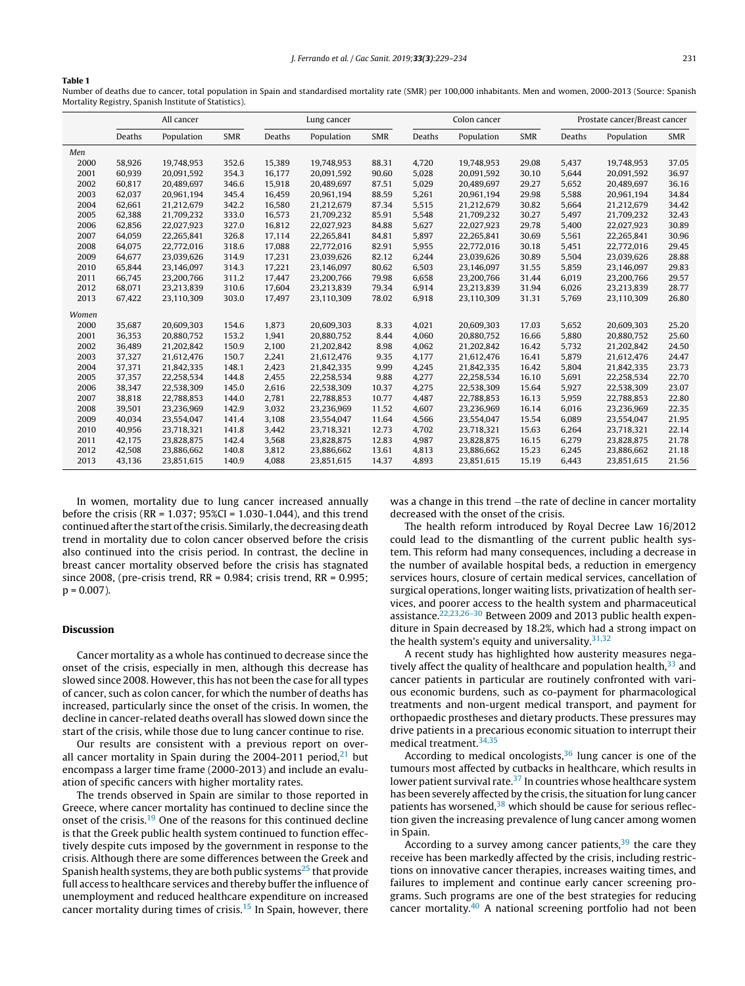## <span id="page-2-0"></span>Table 1

Number of deaths due to cancer, total population in Spain and standardised mortality rate (SMR) per 100,000 inhabitants. Men and women, 2000-2013 (Source: Spanish Mortality Registry, Spanish Institute of Statistics).

|       | All cancer |            | Lung cancer |        |            | Colon cancer |        |            | Prostate cancer/Breast cancer |        |            |            |
|-------|------------|------------|-------------|--------|------------|--------------|--------|------------|-------------------------------|--------|------------|------------|
|       | Deaths     | Population | <b>SMR</b>  | Deaths | Population | <b>SMR</b>   | Deaths | Population | <b>SMR</b>                    | Deaths | Population | <b>SMR</b> |
| Men   |            |            |             |        |            |              |        |            |                               |        |            |            |
| 2000  | 58,926     | 19.748.953 | 352.6       | 15.389 | 19.748.953 | 88.31        | 4.720  | 19.748.953 | 29.08                         | 5.437  | 19.748.953 | 37.05      |
| 2001  | 60,939     | 20,091,592 | 354.3       | 16.177 | 20,091,592 | 90.60        | 5,028  | 20,091,592 | 30.10                         | 5,644  | 20,091,592 | 36.97      |
| 2002  | 60,817     | 20,489,697 | 346.6       | 15,918 | 20,489,697 | 87.51        | 5,029  | 20,489,697 | 29.27                         | 5,652  | 20,489,697 | 36.16      |
| 2003  | 62.037     | 20,961,194 | 345.4       | 16,459 | 20,961,194 | 88.59        | 5,261  | 20,961,194 | 29.98                         | 5,588  | 20,961,194 | 34.84      |
| 2004  | 62,661     | 21,212,679 | 342.2       | 16,580 | 21,212,679 | 87.34        | 5,515  | 21,212,679 | 30.82                         | 5,664  | 21,212,679 | 34.42      |
| 2005  | 62,388     | 21,709,232 | 333.0       | 16.573 | 21,709,232 | 85.91        | 5,548  | 21,709,232 | 30.27                         | 5,497  | 21,709,232 | 32.43      |
| 2006  | 62,856     | 22,027,923 | 327.0       | 16,812 | 22,027,923 | 84.88        | 5,627  | 22.027.923 | 29.78                         | 5,400  | 22,027,923 | 30.89      |
| 2007  | 64.059     | 22.265.841 | 326.8       | 17.114 | 22,265,841 | 84.81        | 5,897  | 22.265.841 | 30.69                         | 5,561  | 22,265,841 | 30.96      |
| 2008  | 64,075     | 22,772,016 | 318.6       | 17,088 | 22,772,016 | 82.91        | 5,955  | 22,772,016 | 30.18                         | 5,451  | 22,772,016 | 29.45      |
| 2009  | 64,677     | 23,039,626 | 314.9       | 17,231 | 23,039,626 | 82.12        | 6,244  | 23,039,626 | 30.89                         | 5,504  | 23,039,626 | 28.88      |
| 2010  | 65.844     | 23,146,097 | 314.3       | 17,221 | 23,146,097 | 80.62        | 6,503  | 23,146,097 | 31.55                         | 5,859  | 23,146,097 | 29.83      |
| 2011  | 66,745     | 23,200,766 | 311.2       | 17,447 | 23,200,766 | 79.98        | 6,658  | 23,200,766 | 31.44                         | 6,019  | 23,200,766 | 29.57      |
| 2012  | 68,071     | 23,213,839 | 310.6       | 17,604 | 23,213,839 | 79.34        | 6,914  | 23,213,839 | 31.94                         | 6,026  | 23,213,839 | 28.77      |
| 2013  | 67,422     | 23,110,309 | 303.0       | 17,497 | 23,110,309 | 78.02        | 6,918  | 23,110,309 | 31.31                         | 5,769  | 23,110,309 | 26.80      |
| Women |            |            |             |        |            |              |        |            |                               |        |            |            |
| 2000  | 35.687     | 20,609,303 | 154.6       | 1,873  | 20,609,303 | 8.33         | 4.021  | 20,609,303 | 17.03                         | 5,652  | 20.609.303 | 25.20      |
| 2001  | 36,353     | 20.880.752 | 153.2       | 1,941  | 20.880.752 | 8.44         | 4,060  | 20.880.752 | 16.66                         | 5,880  | 20,880,752 | 25.60      |
| 2002  | 36,489     | 21,202,842 | 150.9       | 2,100  | 21,202,842 | 8.98         | 4,062  | 21,202,842 | 16.42                         | 5,732  | 21,202,842 | 24.50      |
| 2003  | 37,327     | 21,612,476 | 150.7       | 2,241  | 21,612,476 | 9.35         | 4,177  | 21,612,476 | 16.41                         | 5,879  | 21,612,476 | 24.47      |
| 2004  | 37,371     | 21,842,335 | 148.1       | 2,423  | 21,842,335 | 9.99         | 4,245  | 21,842,335 | 16.42                         | 5,804  | 21,842,335 | 23.73      |
| 2005  | 37,357     | 22,258,534 | 144.8       | 2,455  | 22,258,534 | 9.88         | 4,277  | 22,258,534 | 16.10                         | 5,691  | 22,258,534 | 22.70      |
| 2006  | 38,347     | 22,538,309 | 145.0       | 2,616  | 22,538,309 | 10.37        | 4,275  | 22,538,309 | 15.64                         | 5,927  | 22,538,309 | 23.07      |
| 2007  | 38,818     | 22,788,853 | 144.0       | 2,781  | 22,788,853 | 10.77        | 4,487  | 22,788,853 | 16.13                         | 5,959  | 22,788,853 | 22.80      |
| 2008  | 39,501     | 23,236,969 | 142.9       | 3,032  | 23,236,969 | 11.52        | 4,607  | 23,236,969 | 16.14                         | 6,016  | 23,236,969 | 22.35      |
| 2009  | 40,034     | 23,554,047 | 141.4       | 3,108  | 23,554,047 | 11.64        | 4,566  | 23,554,047 | 15.54                         | 6,089  | 23,554,047 | 21.95      |
| 2010  | 40,956     | 23,718,321 | 141.8       | 3,442  | 23,718,321 | 12.73        | 4,702  | 23,718,321 | 15.63                         | 6,264  | 23,718,321 | 22.14      |
| 2011  | 42,175     | 23,828,875 | 142.4       | 3,568  | 23,828,875 | 12.83        | 4,987  | 23,828,875 | 16.15                         | 6,279  | 23,828,875 | 21.78      |
| 2012  | 42,508     | 23,886,662 | 140.8       | 3,812  | 23,886,662 | 13.61        | 4,813  | 23,886,662 | 15.23                         | 6,245  | 23,886,662 | 21.18      |
| 2013  | 43,136     | 23,851,615 | 140.9       | 4,088  | 23,851,615 | 14.37        | 4,893  | 23,851,615 | 15.19                         | 6,443  | 23,851,615 | 21.56      |

In women, mortality due to lung cancer increased annually before the crisis (RR = 1.037; 95%CI = 1.030-1.044), and this trend continued after the start of the crisis. Similarly, the decreasing death trend in mortality due to colon cancer observed before the crisis also continued into the crisis period. In contrast, the decline in breast cancer mortality observed before the crisis has stagnated since 2008, (pre-crisis trend, RR = 0.984; crisis trend, RR = 0.995;  $p = 0.007$ ).

## Discussion

Cancer mortality as a whole has continued to decrease since the onset of the crisis, especially in men, although this decrease has slowed since 2008. However, this has not been the case for all types of cancer, such as colon cancer, for which the number of deaths has increased, particularly since the onset of the crisis. In women, the decline in cancer-related deaths overall has slowed down since the start of the crisis, while those due to lung cancer continue to rise.

Our results are consistent with a previous report on overall cancer mortality in Spain during the 2004-2011 period, $21$  but encompass a larger time frame (2000-2013) and include an evaluation of specific cancers with higher mortality rates.

The trends observed in Spain are similar to those reported in Greece, where cancer mortality has continued to decline since the onset of the crisis.<sup>[19](#page-4-0)</sup> One of the reasons for this continued decline is that the Greek public health system continued to function effectively despite cuts imposed by the government in response to the crisis. Although there are some differences between the Greek and Spanish health systems, they are both public systems<sup>[25](#page-4-0)</sup> that provide full access to healthcare services and thereby buffer the influence of unemployment and reduced healthcare expenditure on increased cancer mortality during times of crisis.<sup>[15](#page-4-0)</sup> In Spain, however, there was a change in this trend −the rate of decline in cancer mortality decreased with the onset of the crisis.

The health reform introduced by Royal Decree Law 16/2012 could lead to the dismantling of the current public health system. This reform had many consequences, including a decrease in the number of available hospital beds, a reduction in emergency services hours, closure of certain medical services, cancellation of surgical operations, longer waiting lists, privatization of health services, and poorer access to the health system and pharmaceutical assistance.[22,23,26–30](#page-4-0) Between 2009 and 2013 public health expenditure in Spain decreased by 18.2%, which had a strong impact on the health system's equity and universality. $31,32$ 

A recent study has highlighted how austerity measures negatively affect the quality of healthcare and population health,  $33$  and cancer patients in particular are routinely confronted with various economic burdens, such as co-payment for pharmacological treatments and non-urgent medical transport, and payment for orthopaedic prostheses and dietary products. These pressures may drive patients in a precarious economic situation to interrupt their medical treatment.<sup>[34,35](#page-4-0)</sup>

According to medical oncologists, $36$  lung cancer is one of the tumours most affected by cutbacks in healthcare, which results in lower patient survival rate.<sup>[37](#page-5-0)</sup> In countries whose healthcare system has been severely affected by the crisis, the situation for lung cancer patients has worsened, $38$  which should be cause for serious reflection given the increasing prevalence of lung cancer among women in Spain.

According to a survey among cancer patients,  $39$  the care they receive has been markedly affected by the crisis, including restrictions on innovative cancer therapies, increases waiting times, and failures to implement and continue early cancer screening programs. Such programs are one of the best strategies for reducing cancer mortality.[40](#page-5-0) A national screening portfolio had not been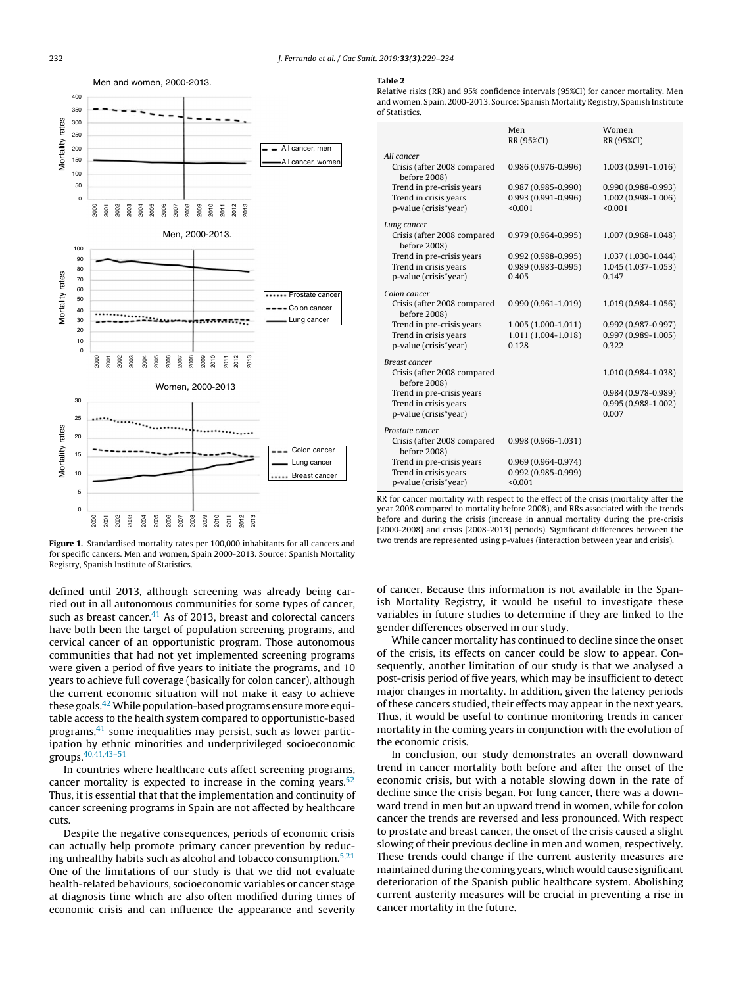<span id="page-3-0"></span>





defined until 2013, although screening was already being carried out in all autonomous communities for some types of cancer, such as breast cancer. $41$  As of 2013, breast and colorectal cancers have both been the target of population screening programs, and cervical cancer of an opportunistic program. Those autonomous communities that had not yet implemented screening programs were given a period of five years to initiate the programs, and 10 years to achieve full coverage (basically for colon cancer), although the current economic situation will not make it easy to achieve these goals. $42$  While population-based programs ensure more equitable access to the health system compared to opportunistic-based programs,<sup>[41](#page-5-0)</sup> some inequalities may persist, such as lower participation by ethnic minorities and underprivileged socioeconomic groups.[40,41,43–51](#page-5-0)

In countries where healthcare cuts affect screening programs, cancer mortality is expected to increase in the coming years. $52$ Thus, it is essential that that the implementation and continuity of cancer screening programs in Spain are not affected by healthcare cuts.

Despite the negative consequences, periods of economic crisis can actually help promote primary cancer prevention by reduc-ing unhealthy habits such as alcohol and tobacco consumption.<sup>[5,21](#page-4-0)</sup> One of the limitations of our study is that we did not evaluate health-related behaviours, socioeconomic variables or cancer stage at diagnosis time which are also often modified during times of economic crisis and can influence the appearance and severity

#### Table 2

Relative risks (RR) and 95% confidence intervals (95%CI) for cancer mortality. Men and women, Spain, 2000-2013. Source: Spanish Mortality Registry, Spanish Institute of Statistics.

|                                             | Men<br>RR (95%CI)      | Women<br>RR (95%CI)    |
|---------------------------------------------|------------------------|------------------------|
| All cancer                                  |                        |                        |
| Crisis (after 2008 compared<br>before 2008) | $0.986(0.976 - 0.996)$ | 1.003 (0.991-1.016)    |
| Trend in pre-crisis years                   | $0.987(0.985 - 0.990)$ | $0.990(0.988 - 0.993)$ |
| Trend in crisis years                       | $0.993(0.991 - 0.996)$ | 1.002 (0.998-1.006)    |
| p-value (crisis*year)                       | < 0.001                | < 0.001                |
| Lung cancer                                 |                        |                        |
| Crisis (after 2008 compared<br>before 2008) | $0.979(0.964 - 0.995)$ | 1.007 (0.968-1.048)    |
| Trend in pre-crisis years                   | $0.992(0.988 - 0.995)$ | 1.037 (1.030-1.044)    |
| Trend in crisis years                       | $0.989(0.983 - 0.995)$ | 1.045 (1.037-1.053)    |
| p-value (crisis*year)                       | 0.405                  | 0.147                  |
| Colon cancer                                |                        |                        |
| Crisis (after 2008 compared<br>before 2008) | $0.990(0.961 - 1.019)$ | 1.019 (0.984-1.056)    |
| Trend in pre-crisis years                   | $1.005(1.000-1.011)$   | $0.992(0.987 - 0.997)$ |
| Trend in crisis years                       | 1.011 (1.004-1.018)    | $0.997(0.989 - 1.005)$ |
| p-value (crisis*year)                       | 0.128                  | 0.322                  |
| Breast cancer                               |                        |                        |
| Crisis (after 2008 compared<br>before 2008) |                        | 1.010 (0.984-1.038)    |
| Trend in pre-crisis years                   |                        | $0.984(0.978 - 0.989)$ |
| Trend in crisis years                       |                        | $0.995(0.988 - 1.002)$ |
| p-value (crisis*year)                       |                        | 0.007                  |
| Prostate cancer                             |                        |                        |
| Crisis (after 2008 compared                 | $0.998(0.966 - 1.031)$ |                        |
| before 2008)                                |                        |                        |
| Trend in pre-crisis years                   | $0.969(0.964 - 0.974)$ |                        |
| Trend in crisis years                       | $0.992(0.985 - 0.999)$ |                        |
| p-value (crisis*year)                       | < 0.001                |                        |

RR for cancer mortality with respect to the effect of the crisis (mortality after the year 2008 compared to mortality before 2008), and RRs associated with the trends before and during the crisis (increase in annual mortality during the pre-crisis [2000-2008] and crisis [2008-2013] periods). Significant differences between the two trends are represented using p-values (interaction between year and crisis).

of cancer. Because this information is not available in the Spanish Mortality Registry, it would be useful to investigate these variables in future studies to determine if they are linked to the gender differences observed in our study.

While cancer mortality has continued to decline since the onset of the crisis, its effects on cancer could be slow to appear. Consequently, another limitation of our study is that we analysed a post-crisis period of five years, which may be insufficient to detect major changes in mortality. In addition, given the latency periods of these cancers studied, their effects may appear in the next years. Thus, it would be useful to continue monitoring trends in cancer mortality in the coming years in conjunction with the evolution of the economic crisis.

In conclusion, our study demonstrates an overall downward trend in cancer mortality both before and after the onset of the economic crisis, but with a notable slowing down in the rate of decline since the crisis began. For lung cancer, there was a downward trend in men but an upward trend in women, while for colon cancer the trends are reversed and less pronounced. With respect to prostate and breast cancer, the onset of the crisis caused a slight slowing of their previous decline in men and women, respectively. These trends could change if the current austerity measures are maintained during the coming years, which would cause significant deterioration of the Spanish public healthcare system. Abolishing current austerity measures will be crucial in preventing a rise in cancer mortality in the future.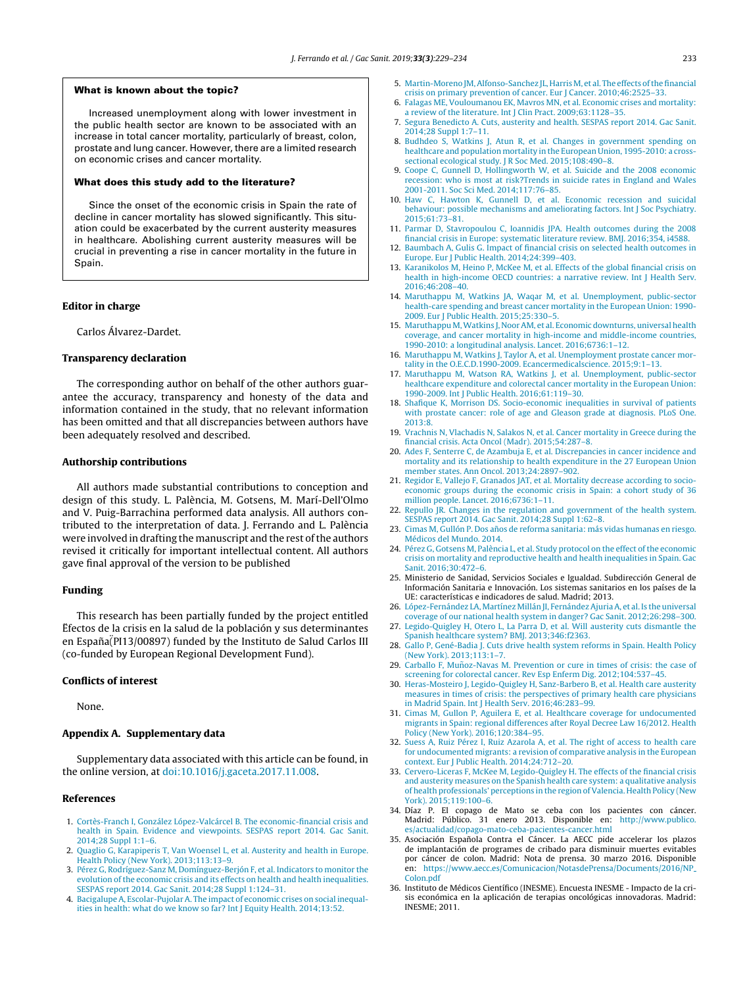## <span id="page-4-0"></span>What is known about the topic?

Increased unemployment along with lower investment in the public health sector are known to be associated with an increase in total cancer mortality, particularly of breast, colon, prostate and lung cancer. However, there are a limited research on economic crises and cancer mortality.

#### What does this study add to the literature?

Since the onset of the economic crisis in Spain the rate of decline in cancer mortality has slowed significantly. This situation could be exacerbated by the current austerity measures in healthcare. Abolishing current austerity measures will be crucial in preventing a rise in cancer mortality in the future in Spain.

## Editor in charge

Carlos Álvarez-Dardet.

## Transparency declaration

The corresponding author on behalf of the other authors guarantee the accuracy, transparency and honesty of the data and information contained in the study, that no relevant information has been omitted and that all discrepancies between authors have been adequately resolved and described.

## Authorship contributions

All authors made substantial contributions to conception and design of this study. L. Palència, M. Gotsens, M. Marí-Dell'Olmo and V. Puig-Barrachina performed data analysis. All authors contributed to the interpretation of data. J. Ferrando and L. Palència were involved in drafting the manuscript and the rest of the authors revised it critically for important intellectual content. All authors gave final approval of the version to be published

## Funding

This research has been partially funded by the project entitled  $E$ fectos de la crisis en la salud de la población y sus determinantes en España(PI13/00897) funded by the Instituto de Salud Carlos III (co-funded by European Regional Development Fund).

## Conflicts of interest

None.

## Appendix A. Supplementary data

Supplementary data associated with this article can be found, in the online version, at [doi:10.1016/j.gaceta.2017.11.008.](http://dx.doi.org/10.1016/j.gaceta.2017.11.008)

## References

- 1. [Cortès-Franch](http://refhub.elsevier.com/S0213-9111(18)30005-0/sbref0265) [I,](http://refhub.elsevier.com/S0213-9111(18)30005-0/sbref0265) [González](http://refhub.elsevier.com/S0213-9111(18)30005-0/sbref0265) [López-Valcárcel](http://refhub.elsevier.com/S0213-9111(18)30005-0/sbref0265) [B.](http://refhub.elsevier.com/S0213-9111(18)30005-0/sbref0265) [The](http://refhub.elsevier.com/S0213-9111(18)30005-0/sbref0265) [economic-financial](http://refhub.elsevier.com/S0213-9111(18)30005-0/sbref0265) [crisis](http://refhub.elsevier.com/S0213-9111(18)30005-0/sbref0265) [and](http://refhub.elsevier.com/S0213-9111(18)30005-0/sbref0265) [health](http://refhub.elsevier.com/S0213-9111(18)30005-0/sbref0265) [in](http://refhub.elsevier.com/S0213-9111(18)30005-0/sbref0265) [Spain.](http://refhub.elsevier.com/S0213-9111(18)30005-0/sbref0265) [Evidence](http://refhub.elsevier.com/S0213-9111(18)30005-0/sbref0265) [and](http://refhub.elsevier.com/S0213-9111(18)30005-0/sbref0265) [viewpoints.](http://refhub.elsevier.com/S0213-9111(18)30005-0/sbref0265) [SESPAS](http://refhub.elsevier.com/S0213-9111(18)30005-0/sbref0265) [report](http://refhub.elsevier.com/S0213-9111(18)30005-0/sbref0265) [2014.](http://refhub.elsevier.com/S0213-9111(18)30005-0/sbref0265) [Gac](http://refhub.elsevier.com/S0213-9111(18)30005-0/sbref0265) [Sanit.](http://refhub.elsevier.com/S0213-9111(18)30005-0/sbref0265) [2014;28](http://refhub.elsevier.com/S0213-9111(18)30005-0/sbref0265) [Suppl](http://refhub.elsevier.com/S0213-9111(18)30005-0/sbref0265) [1:1](http://refhub.elsevier.com/S0213-9111(18)30005-0/sbref0265)–[6.](http://refhub.elsevier.com/S0213-9111(18)30005-0/sbref0265)
- 2. [Quaglio](http://refhub.elsevier.com/S0213-9111(18)30005-0/sbref0270) [G,](http://refhub.elsevier.com/S0213-9111(18)30005-0/sbref0270) [Karapiperis](http://refhub.elsevier.com/S0213-9111(18)30005-0/sbref0270) [T,](http://refhub.elsevier.com/S0213-9111(18)30005-0/sbref0270) [Van](http://refhub.elsevier.com/S0213-9111(18)30005-0/sbref0270) [Woensel](http://refhub.elsevier.com/S0213-9111(18)30005-0/sbref0270) [L,](http://refhub.elsevier.com/S0213-9111(18)30005-0/sbref0270) [et](http://refhub.elsevier.com/S0213-9111(18)30005-0/sbref0270) [al.](http://refhub.elsevier.com/S0213-9111(18)30005-0/sbref0270) [Austerity](http://refhub.elsevier.com/S0213-9111(18)30005-0/sbref0270) [and](http://refhub.elsevier.com/S0213-9111(18)30005-0/sbref0270) [health](http://refhub.elsevier.com/S0213-9111(18)30005-0/sbref0270) [in](http://refhub.elsevier.com/S0213-9111(18)30005-0/sbref0270) [Europe.](http://refhub.elsevier.com/S0213-9111(18)30005-0/sbref0270) [Health](http://refhub.elsevier.com/S0213-9111(18)30005-0/sbref0270) [Policy](http://refhub.elsevier.com/S0213-9111(18)30005-0/sbref0270) [\(New](http://refhub.elsevier.com/S0213-9111(18)30005-0/sbref0270) [York\).](http://refhub.elsevier.com/S0213-9111(18)30005-0/sbref0270) [2013;113:13](http://refhub.elsevier.com/S0213-9111(18)30005-0/sbref0270)–[9.](http://refhub.elsevier.com/S0213-9111(18)30005-0/sbref0270)
- 3. [Pérez](http://refhub.elsevier.com/S0213-9111(18)30005-0/sbref0275) [G,](http://refhub.elsevier.com/S0213-9111(18)30005-0/sbref0275) [Rodríguez-Sanz](http://refhub.elsevier.com/S0213-9111(18)30005-0/sbref0275) [M,](http://refhub.elsevier.com/S0213-9111(18)30005-0/sbref0275) [Domínguez-Berjón](http://refhub.elsevier.com/S0213-9111(18)30005-0/sbref0275) [F,](http://refhub.elsevier.com/S0213-9111(18)30005-0/sbref0275) [et](http://refhub.elsevier.com/S0213-9111(18)30005-0/sbref0275) [al.](http://refhub.elsevier.com/S0213-9111(18)30005-0/sbref0275) [Indicators](http://refhub.elsevier.com/S0213-9111(18)30005-0/sbref0275) [to](http://refhub.elsevier.com/S0213-9111(18)30005-0/sbref0275) [monitor](http://refhub.elsevier.com/S0213-9111(18)30005-0/sbref0275) [the](http://refhub.elsevier.com/S0213-9111(18)30005-0/sbref0275) [evolution](http://refhub.elsevier.com/S0213-9111(18)30005-0/sbref0275) [of](http://refhub.elsevier.com/S0213-9111(18)30005-0/sbref0275) [the](http://refhub.elsevier.com/S0213-9111(18)30005-0/sbref0275) [economic](http://refhub.elsevier.com/S0213-9111(18)30005-0/sbref0275) [crisis](http://refhub.elsevier.com/S0213-9111(18)30005-0/sbref0275) [and](http://refhub.elsevier.com/S0213-9111(18)30005-0/sbref0275) [its](http://refhub.elsevier.com/S0213-9111(18)30005-0/sbref0275) [effects](http://refhub.elsevier.com/S0213-9111(18)30005-0/sbref0275) [on](http://refhub.elsevier.com/S0213-9111(18)30005-0/sbref0275) [health](http://refhub.elsevier.com/S0213-9111(18)30005-0/sbref0275) [and](http://refhub.elsevier.com/S0213-9111(18)30005-0/sbref0275) [health](http://refhub.elsevier.com/S0213-9111(18)30005-0/sbref0275) [inequalities.](http://refhub.elsevier.com/S0213-9111(18)30005-0/sbref0275) [SESPAS](http://refhub.elsevier.com/S0213-9111(18)30005-0/sbref0275) [report](http://refhub.elsevier.com/S0213-9111(18)30005-0/sbref0275) [2014.](http://refhub.elsevier.com/S0213-9111(18)30005-0/sbref0275) [Gac](http://refhub.elsevier.com/S0213-9111(18)30005-0/sbref0275) [Sanit.](http://refhub.elsevier.com/S0213-9111(18)30005-0/sbref0275) [2014;28](http://refhub.elsevier.com/S0213-9111(18)30005-0/sbref0275) [Suppl](http://refhub.elsevier.com/S0213-9111(18)30005-0/sbref0275) [1:124–31.](http://refhub.elsevier.com/S0213-9111(18)30005-0/sbref0275)
- 4. [Bacigalupe](http://refhub.elsevier.com/S0213-9111(18)30005-0/sbref0280) [A,](http://refhub.elsevier.com/S0213-9111(18)30005-0/sbref0280) [Escolar-Pujolar](http://refhub.elsevier.com/S0213-9111(18)30005-0/sbref0280) [A.](http://refhub.elsevier.com/S0213-9111(18)30005-0/sbref0280) [The](http://refhub.elsevier.com/S0213-9111(18)30005-0/sbref0280) [impact](http://refhub.elsevier.com/S0213-9111(18)30005-0/sbref0280) [of](http://refhub.elsevier.com/S0213-9111(18)30005-0/sbref0280) [economic](http://refhub.elsevier.com/S0213-9111(18)30005-0/sbref0280) [crises](http://refhub.elsevier.com/S0213-9111(18)30005-0/sbref0280) [on](http://refhub.elsevier.com/S0213-9111(18)30005-0/sbref0280) [social](http://refhub.elsevier.com/S0213-9111(18)30005-0/sbref0280) [inequal](http://refhub.elsevier.com/S0213-9111(18)30005-0/sbref0280)[ities](http://refhub.elsevier.com/S0213-9111(18)30005-0/sbref0280) [in](http://refhub.elsevier.com/S0213-9111(18)30005-0/sbref0280) [health:](http://refhub.elsevier.com/S0213-9111(18)30005-0/sbref0280) [what](http://refhub.elsevier.com/S0213-9111(18)30005-0/sbref0280) [do](http://refhub.elsevier.com/S0213-9111(18)30005-0/sbref0280) [we](http://refhub.elsevier.com/S0213-9111(18)30005-0/sbref0280) [know](http://refhub.elsevier.com/S0213-9111(18)30005-0/sbref0280) [so](http://refhub.elsevier.com/S0213-9111(18)30005-0/sbref0280) [far?](http://refhub.elsevier.com/S0213-9111(18)30005-0/sbref0280) [Int](http://refhub.elsevier.com/S0213-9111(18)30005-0/sbref0280) [J](http://refhub.elsevier.com/S0213-9111(18)30005-0/sbref0280) [Equity](http://refhub.elsevier.com/S0213-9111(18)30005-0/sbref0280) [Health.](http://refhub.elsevier.com/S0213-9111(18)30005-0/sbref0280) [2014;13:52.](http://refhub.elsevier.com/S0213-9111(18)30005-0/sbref0280)
- 5. [Martin-Moreno](http://refhub.elsevier.com/S0213-9111(18)30005-0/sbref0285) JM, Alfonso-Sanchez JL, Harris M, [et](http://refhub.elsevier.com/S0213-9111(18)30005-0/sbref0285) [al.](http://refhub.elsevier.com/S0213-9111(18)30005-0/sbref0285) [The](http://refhub.elsevier.com/S0213-9111(18)30005-0/sbref0285) [effects](http://refhub.elsevier.com/S0213-9111(18)30005-0/sbref0285) of the financial [crisis](http://refhub.elsevier.com/S0213-9111(18)30005-0/sbref0285) [on](http://refhub.elsevier.com/S0213-9111(18)30005-0/sbref0285) [primary](http://refhub.elsevier.com/S0213-9111(18)30005-0/sbref0285) [prevention](http://refhub.elsevier.com/S0213-9111(18)30005-0/sbref0285) [of](http://refhub.elsevier.com/S0213-9111(18)30005-0/sbref0285) [cancer.](http://refhub.elsevier.com/S0213-9111(18)30005-0/sbref0285) [Eur](http://refhub.elsevier.com/S0213-9111(18)30005-0/sbref0285) [J](http://refhub.elsevier.com/S0213-9111(18)30005-0/sbref0285) [Cancer.](http://refhub.elsevier.com/S0213-9111(18)30005-0/sbref0285) [2010;46:2525–33.](http://refhub.elsevier.com/S0213-9111(18)30005-0/sbref0285)
- 6. [Falagas](http://refhub.elsevier.com/S0213-9111(18)30005-0/sbref0290) [ME,](http://refhub.elsevier.com/S0213-9111(18)30005-0/sbref0290) [Vouloumanou](http://refhub.elsevier.com/S0213-9111(18)30005-0/sbref0290) [EK,](http://refhub.elsevier.com/S0213-9111(18)30005-0/sbref0290) [Mavros](http://refhub.elsevier.com/S0213-9111(18)30005-0/sbref0290) [MN,](http://refhub.elsevier.com/S0213-9111(18)30005-0/sbref0290) [et](http://refhub.elsevier.com/S0213-9111(18)30005-0/sbref0290) [al.](http://refhub.elsevier.com/S0213-9111(18)30005-0/sbref0290) [Economic](http://refhub.elsevier.com/S0213-9111(18)30005-0/sbref0290) [crises](http://refhub.elsevier.com/S0213-9111(18)30005-0/sbref0290) [and](http://refhub.elsevier.com/S0213-9111(18)30005-0/sbref0290) [mortality:](http://refhub.elsevier.com/S0213-9111(18)30005-0/sbref0290) [a](http://refhub.elsevier.com/S0213-9111(18)30005-0/sbref0290) [review](http://refhub.elsevier.com/S0213-9111(18)30005-0/sbref0290) [of](http://refhub.elsevier.com/S0213-9111(18)30005-0/sbref0290) [the](http://refhub.elsevier.com/S0213-9111(18)30005-0/sbref0290) [literature.](http://refhub.elsevier.com/S0213-9111(18)30005-0/sbref0290) [Int](http://refhub.elsevier.com/S0213-9111(18)30005-0/sbref0290) [J](http://refhub.elsevier.com/S0213-9111(18)30005-0/sbref0290) [Clin](http://refhub.elsevier.com/S0213-9111(18)30005-0/sbref0290) [Pract.](http://refhub.elsevier.com/S0213-9111(18)30005-0/sbref0290) [2009;63:1128](http://refhub.elsevier.com/S0213-9111(18)30005-0/sbref0290)–[35.](http://refhub.elsevier.com/S0213-9111(18)30005-0/sbref0290)
- 7. [Segura](http://refhub.elsevier.com/S0213-9111(18)30005-0/sbref0295) [Benedicto](http://refhub.elsevier.com/S0213-9111(18)30005-0/sbref0295) [A.](http://refhub.elsevier.com/S0213-9111(18)30005-0/sbref0295) [Cuts,](http://refhub.elsevier.com/S0213-9111(18)30005-0/sbref0295) [austerity](http://refhub.elsevier.com/S0213-9111(18)30005-0/sbref0295) [and](http://refhub.elsevier.com/S0213-9111(18)30005-0/sbref0295) [health.](http://refhub.elsevier.com/S0213-9111(18)30005-0/sbref0295) [SESPAS](http://refhub.elsevier.com/S0213-9111(18)30005-0/sbref0295) [report](http://refhub.elsevier.com/S0213-9111(18)30005-0/sbref0295) [2014.](http://refhub.elsevier.com/S0213-9111(18)30005-0/sbref0295) [Gac](http://refhub.elsevier.com/S0213-9111(18)30005-0/sbref0295) [Sanit.](http://refhub.elsevier.com/S0213-9111(18)30005-0/sbref0295) [2014;28](http://refhub.elsevier.com/S0213-9111(18)30005-0/sbref0295) [Suppl](http://refhub.elsevier.com/S0213-9111(18)30005-0/sbref0295) [1:7](http://refhub.elsevier.com/S0213-9111(18)30005-0/sbref0295)–[11.](http://refhub.elsevier.com/S0213-9111(18)30005-0/sbref0295)
- 8. [Budhdeo](http://refhub.elsevier.com/S0213-9111(18)30005-0/sbref0300) [S,](http://refhub.elsevier.com/S0213-9111(18)30005-0/sbref0300) [Watkins](http://refhub.elsevier.com/S0213-9111(18)30005-0/sbref0300) [J,](http://refhub.elsevier.com/S0213-9111(18)30005-0/sbref0300) [Atun](http://refhub.elsevier.com/S0213-9111(18)30005-0/sbref0300) [R,](http://refhub.elsevier.com/S0213-9111(18)30005-0/sbref0300) [et](http://refhub.elsevier.com/S0213-9111(18)30005-0/sbref0300) [al.](http://refhub.elsevier.com/S0213-9111(18)30005-0/sbref0300) [Changes](http://refhub.elsevier.com/S0213-9111(18)30005-0/sbref0300) [in](http://refhub.elsevier.com/S0213-9111(18)30005-0/sbref0300) [government](http://refhub.elsevier.com/S0213-9111(18)30005-0/sbref0300) [spending](http://refhub.elsevier.com/S0213-9111(18)30005-0/sbref0300) [on](http://refhub.elsevier.com/S0213-9111(18)30005-0/sbref0300) [healthcare](http://refhub.elsevier.com/S0213-9111(18)30005-0/sbref0300) [and](http://refhub.elsevier.com/S0213-9111(18)30005-0/sbref0300) [population](http://refhub.elsevier.com/S0213-9111(18)30005-0/sbref0300) [mortality](http://refhub.elsevier.com/S0213-9111(18)30005-0/sbref0300) [in](http://refhub.elsevier.com/S0213-9111(18)30005-0/sbref0300) [the](http://refhub.elsevier.com/S0213-9111(18)30005-0/sbref0300) [European](http://refhub.elsevier.com/S0213-9111(18)30005-0/sbref0300) [Union,](http://refhub.elsevier.com/S0213-9111(18)30005-0/sbref0300) [1995-2010:](http://refhub.elsevier.com/S0213-9111(18)30005-0/sbref0300) [a](http://refhub.elsevier.com/S0213-9111(18)30005-0/sbref0300) [cross](http://refhub.elsevier.com/S0213-9111(18)30005-0/sbref0300)[sectional](http://refhub.elsevier.com/S0213-9111(18)30005-0/sbref0300) [ecological](http://refhub.elsevier.com/S0213-9111(18)30005-0/sbref0300) [study.](http://refhub.elsevier.com/S0213-9111(18)30005-0/sbref0300) [J](http://refhub.elsevier.com/S0213-9111(18)30005-0/sbref0300) [R](http://refhub.elsevier.com/S0213-9111(18)30005-0/sbref0300) [Soc](http://refhub.elsevier.com/S0213-9111(18)30005-0/sbref0300) [Med.](http://refhub.elsevier.com/S0213-9111(18)30005-0/sbref0300) [2015;108:490–8.](http://refhub.elsevier.com/S0213-9111(18)30005-0/sbref0300)
- 9. [Coope](http://refhub.elsevier.com/S0213-9111(18)30005-0/sbref0305) [C,](http://refhub.elsevier.com/S0213-9111(18)30005-0/sbref0305) [Gunnell](http://refhub.elsevier.com/S0213-9111(18)30005-0/sbref0305) [D,](http://refhub.elsevier.com/S0213-9111(18)30005-0/sbref0305) [Hollingworth](http://refhub.elsevier.com/S0213-9111(18)30005-0/sbref0305) [W,](http://refhub.elsevier.com/S0213-9111(18)30005-0/sbref0305) [et](http://refhub.elsevier.com/S0213-9111(18)30005-0/sbref0305) [al.](http://refhub.elsevier.com/S0213-9111(18)30005-0/sbref0305) [Suicide](http://refhub.elsevier.com/S0213-9111(18)30005-0/sbref0305) [and](http://refhub.elsevier.com/S0213-9111(18)30005-0/sbref0305) [the](http://refhub.elsevier.com/S0213-9111(18)30005-0/sbref0305) [2008](http://refhub.elsevier.com/S0213-9111(18)30005-0/sbref0305) [economic](http://refhub.elsevier.com/S0213-9111(18)30005-0/sbref0305) [recession:](http://refhub.elsevier.com/S0213-9111(18)30005-0/sbref0305) [who](http://refhub.elsevier.com/S0213-9111(18)30005-0/sbref0305) [is](http://refhub.elsevier.com/S0213-9111(18)30005-0/sbref0305) [most](http://refhub.elsevier.com/S0213-9111(18)30005-0/sbref0305) [at](http://refhub.elsevier.com/S0213-9111(18)30005-0/sbref0305) [risk?Trends](http://refhub.elsevier.com/S0213-9111(18)30005-0/sbref0305) [in](http://refhub.elsevier.com/S0213-9111(18)30005-0/sbref0305) [suicide](http://refhub.elsevier.com/S0213-9111(18)30005-0/sbref0305) [rates](http://refhub.elsevier.com/S0213-9111(18)30005-0/sbref0305) [in](http://refhub.elsevier.com/S0213-9111(18)30005-0/sbref0305) [England](http://refhub.elsevier.com/S0213-9111(18)30005-0/sbref0305) [and](http://refhub.elsevier.com/S0213-9111(18)30005-0/sbref0305) [Wales](http://refhub.elsevier.com/S0213-9111(18)30005-0/sbref0305) [2001-2011.](http://refhub.elsevier.com/S0213-9111(18)30005-0/sbref0305) [Soc](http://refhub.elsevier.com/S0213-9111(18)30005-0/sbref0305) [Sci](http://refhub.elsevier.com/S0213-9111(18)30005-0/sbref0305) [Med.](http://refhub.elsevier.com/S0213-9111(18)30005-0/sbref0305) [2014;117:76–85.](http://refhub.elsevier.com/S0213-9111(18)30005-0/sbref0305)
- 10. [Haw](http://refhub.elsevier.com/S0213-9111(18)30005-0/sbref0310) [C,](http://refhub.elsevier.com/S0213-9111(18)30005-0/sbref0310) [Hawton](http://refhub.elsevier.com/S0213-9111(18)30005-0/sbref0310) [K,](http://refhub.elsevier.com/S0213-9111(18)30005-0/sbref0310) [Gunnell](http://refhub.elsevier.com/S0213-9111(18)30005-0/sbref0310) [D,](http://refhub.elsevier.com/S0213-9111(18)30005-0/sbref0310) [et](http://refhub.elsevier.com/S0213-9111(18)30005-0/sbref0310) [al.](http://refhub.elsevier.com/S0213-9111(18)30005-0/sbref0310) [Economic](http://refhub.elsevier.com/S0213-9111(18)30005-0/sbref0310) [recession](http://refhub.elsevier.com/S0213-9111(18)30005-0/sbref0310) [and](http://refhub.elsevier.com/S0213-9111(18)30005-0/sbref0310) [suicidal](http://refhub.elsevier.com/S0213-9111(18)30005-0/sbref0310) [behaviour:](http://refhub.elsevier.com/S0213-9111(18)30005-0/sbref0310) [possible](http://refhub.elsevier.com/S0213-9111(18)30005-0/sbref0310) [mechanisms](http://refhub.elsevier.com/S0213-9111(18)30005-0/sbref0310) [and](http://refhub.elsevier.com/S0213-9111(18)30005-0/sbref0310) [ameliorating](http://refhub.elsevier.com/S0213-9111(18)30005-0/sbref0310) [factors.](http://refhub.elsevier.com/S0213-9111(18)30005-0/sbref0310) [Int](http://refhub.elsevier.com/S0213-9111(18)30005-0/sbref0310) [J](http://refhub.elsevier.com/S0213-9111(18)30005-0/sbref0310) [Soc](http://refhub.elsevier.com/S0213-9111(18)30005-0/sbref0310) [Psychiatry.](http://refhub.elsevier.com/S0213-9111(18)30005-0/sbref0310) [2015;61:73–81.](http://refhub.elsevier.com/S0213-9111(18)30005-0/sbref0310)
- 11. [Parmar](http://refhub.elsevier.com/S0213-9111(18)30005-0/sbref0315) [D,](http://refhub.elsevier.com/S0213-9111(18)30005-0/sbref0315) [Stavropoulou](http://refhub.elsevier.com/S0213-9111(18)30005-0/sbref0315) [C,](http://refhub.elsevier.com/S0213-9111(18)30005-0/sbref0315) [Ioannidis](http://refhub.elsevier.com/S0213-9111(18)30005-0/sbref0315) [JPA.](http://refhub.elsevier.com/S0213-9111(18)30005-0/sbref0315) [Health](http://refhub.elsevier.com/S0213-9111(18)30005-0/sbref0315) [outcomes](http://refhub.elsevier.com/S0213-9111(18)30005-0/sbref0315) [during](http://refhub.elsevier.com/S0213-9111(18)30005-0/sbref0315) [the](http://refhub.elsevier.com/S0213-9111(18)30005-0/sbref0315) [2008](http://refhub.elsevier.com/S0213-9111(18)30005-0/sbref0315) [financial](http://refhub.elsevier.com/S0213-9111(18)30005-0/sbref0315) [crisis](http://refhub.elsevier.com/S0213-9111(18)30005-0/sbref0315) [in](http://refhub.elsevier.com/S0213-9111(18)30005-0/sbref0315) [Europe:](http://refhub.elsevier.com/S0213-9111(18)30005-0/sbref0315) [systematic](http://refhub.elsevier.com/S0213-9111(18)30005-0/sbref0315) [literature](http://refhub.elsevier.com/S0213-9111(18)30005-0/sbref0315) [review.](http://refhub.elsevier.com/S0213-9111(18)30005-0/sbref0315) [BMJ.](http://refhub.elsevier.com/S0213-9111(18)30005-0/sbref0315) [2016;354,](http://refhub.elsevier.com/S0213-9111(18)30005-0/sbref0315) [i4588.](http://refhub.elsevier.com/S0213-9111(18)30005-0/sbref0315)
- 12. [Baumbach](http://refhub.elsevier.com/S0213-9111(18)30005-0/sbref0320) [A,](http://refhub.elsevier.com/S0213-9111(18)30005-0/sbref0320) [Gulis](http://refhub.elsevier.com/S0213-9111(18)30005-0/sbref0320) [G.](http://refhub.elsevier.com/S0213-9111(18)30005-0/sbref0320) [Impact](http://refhub.elsevier.com/S0213-9111(18)30005-0/sbref0320) [of](http://refhub.elsevier.com/S0213-9111(18)30005-0/sbref0320) [financial](http://refhub.elsevier.com/S0213-9111(18)30005-0/sbref0320) [crisis](http://refhub.elsevier.com/S0213-9111(18)30005-0/sbref0320) [on](http://refhub.elsevier.com/S0213-9111(18)30005-0/sbref0320) [selected](http://refhub.elsevier.com/S0213-9111(18)30005-0/sbref0320) [health](http://refhub.elsevier.com/S0213-9111(18)30005-0/sbref0320) [outcomes](http://refhub.elsevier.com/S0213-9111(18)30005-0/sbref0320) [in](http://refhub.elsevier.com/S0213-9111(18)30005-0/sbref0320) [Europe.](http://refhub.elsevier.com/S0213-9111(18)30005-0/sbref0320) [Eur](http://refhub.elsevier.com/S0213-9111(18)30005-0/sbref0320) [J](http://refhub.elsevier.com/S0213-9111(18)30005-0/sbref0320) [Public](http://refhub.elsevier.com/S0213-9111(18)30005-0/sbref0320) [Health.](http://refhub.elsevier.com/S0213-9111(18)30005-0/sbref0320) [2014;24:399–403.](http://refhub.elsevier.com/S0213-9111(18)30005-0/sbref0320)
- 13. [Karanikolos](http://refhub.elsevier.com/S0213-9111(18)30005-0/sbref0325) [M,](http://refhub.elsevier.com/S0213-9111(18)30005-0/sbref0325) [Heino](http://refhub.elsevier.com/S0213-9111(18)30005-0/sbref0325) [P,](http://refhub.elsevier.com/S0213-9111(18)30005-0/sbref0325) [McKee](http://refhub.elsevier.com/S0213-9111(18)30005-0/sbref0325) [M,](http://refhub.elsevier.com/S0213-9111(18)30005-0/sbref0325) [et](http://refhub.elsevier.com/S0213-9111(18)30005-0/sbref0325) [al.](http://refhub.elsevier.com/S0213-9111(18)30005-0/sbref0325) [Effects](http://refhub.elsevier.com/S0213-9111(18)30005-0/sbref0325) [of](http://refhub.elsevier.com/S0213-9111(18)30005-0/sbref0325) [the](http://refhub.elsevier.com/S0213-9111(18)30005-0/sbref0325) [global](http://refhub.elsevier.com/S0213-9111(18)30005-0/sbref0325) [financial](http://refhub.elsevier.com/S0213-9111(18)30005-0/sbref0325) [crisis](http://refhub.elsevier.com/S0213-9111(18)30005-0/sbref0325) [on](http://refhub.elsevier.com/S0213-9111(18)30005-0/sbref0325) [health](http://refhub.elsevier.com/S0213-9111(18)30005-0/sbref0325) [in](http://refhub.elsevier.com/S0213-9111(18)30005-0/sbref0325) [high-income](http://refhub.elsevier.com/S0213-9111(18)30005-0/sbref0325) [OECD](http://refhub.elsevier.com/S0213-9111(18)30005-0/sbref0325) [countries:](http://refhub.elsevier.com/S0213-9111(18)30005-0/sbref0325) [a](http://refhub.elsevier.com/S0213-9111(18)30005-0/sbref0325) [narrative](http://refhub.elsevier.com/S0213-9111(18)30005-0/sbref0325) [review.](http://refhub.elsevier.com/S0213-9111(18)30005-0/sbref0325) [Int](http://refhub.elsevier.com/S0213-9111(18)30005-0/sbref0325) [J](http://refhub.elsevier.com/S0213-9111(18)30005-0/sbref0325) [Health](http://refhub.elsevier.com/S0213-9111(18)30005-0/sbref0325) [Serv.](http://refhub.elsevier.com/S0213-9111(18)30005-0/sbref0325) [2016;46:208–40.](http://refhub.elsevier.com/S0213-9111(18)30005-0/sbref0325)
- 14. [Maruthappu](http://refhub.elsevier.com/S0213-9111(18)30005-0/sbref0330) [M,](http://refhub.elsevier.com/S0213-9111(18)30005-0/sbref0330) [Watkins](http://refhub.elsevier.com/S0213-9111(18)30005-0/sbref0330) [JA,](http://refhub.elsevier.com/S0213-9111(18)30005-0/sbref0330) [Waqar](http://refhub.elsevier.com/S0213-9111(18)30005-0/sbref0330) [M,](http://refhub.elsevier.com/S0213-9111(18)30005-0/sbref0330) [et](http://refhub.elsevier.com/S0213-9111(18)30005-0/sbref0330) [al.](http://refhub.elsevier.com/S0213-9111(18)30005-0/sbref0330) [Unemployment,](http://refhub.elsevier.com/S0213-9111(18)30005-0/sbref0330) [public-sector](http://refhub.elsevier.com/S0213-9111(18)30005-0/sbref0330) [health-care](http://refhub.elsevier.com/S0213-9111(18)30005-0/sbref0330) [spending](http://refhub.elsevier.com/S0213-9111(18)30005-0/sbref0330) [and](http://refhub.elsevier.com/S0213-9111(18)30005-0/sbref0330) [breast](http://refhub.elsevier.com/S0213-9111(18)30005-0/sbref0330) [cancer](http://refhub.elsevier.com/S0213-9111(18)30005-0/sbref0330) [mortality](http://refhub.elsevier.com/S0213-9111(18)30005-0/sbref0330) [in](http://refhub.elsevier.com/S0213-9111(18)30005-0/sbref0330) [the](http://refhub.elsevier.com/S0213-9111(18)30005-0/sbref0330) [European](http://refhub.elsevier.com/S0213-9111(18)30005-0/sbref0330) [Union:](http://refhub.elsevier.com/S0213-9111(18)30005-0/sbref0330) [1990-](http://refhub.elsevier.com/S0213-9111(18)30005-0/sbref0330) [2009.](http://refhub.elsevier.com/S0213-9111(18)30005-0/sbref0330) [Eur](http://refhub.elsevier.com/S0213-9111(18)30005-0/sbref0330) [J](http://refhub.elsevier.com/S0213-9111(18)30005-0/sbref0330) [Public](http://refhub.elsevier.com/S0213-9111(18)30005-0/sbref0330) [Health.](http://refhub.elsevier.com/S0213-9111(18)30005-0/sbref0330) [2015;25:330](http://refhub.elsevier.com/S0213-9111(18)30005-0/sbref0330)–[5.](http://refhub.elsevier.com/S0213-9111(18)30005-0/sbref0330)
- 15. [Maruthappu](http://refhub.elsevier.com/S0213-9111(18)30005-0/sbref0335) M, Watkins [J,](http://refhub.elsevier.com/S0213-9111(18)30005-0/sbref0335) Noor AM, [et](http://refhub.elsevier.com/S0213-9111(18)30005-0/sbref0335) [al.](http://refhub.elsevier.com/S0213-9111(18)30005-0/sbref0335) [Economic](http://refhub.elsevier.com/S0213-9111(18)30005-0/sbref0335) [downturns,](http://refhub.elsevier.com/S0213-9111(18)30005-0/sbref0335) [universal](http://refhub.elsevier.com/S0213-9111(18)30005-0/sbref0335) [health](http://refhub.elsevier.com/S0213-9111(18)30005-0/sbref0335) [coverage,](http://refhub.elsevier.com/S0213-9111(18)30005-0/sbref0335) [and](http://refhub.elsevier.com/S0213-9111(18)30005-0/sbref0335) [cancer](http://refhub.elsevier.com/S0213-9111(18)30005-0/sbref0335) [mortality](http://refhub.elsevier.com/S0213-9111(18)30005-0/sbref0335) [in](http://refhub.elsevier.com/S0213-9111(18)30005-0/sbref0335) [high-income](http://refhub.elsevier.com/S0213-9111(18)30005-0/sbref0335) [and](http://refhub.elsevier.com/S0213-9111(18)30005-0/sbref0335) [middle-income](http://refhub.elsevier.com/S0213-9111(18)30005-0/sbref0335) [countries,](http://refhub.elsevier.com/S0213-9111(18)30005-0/sbref0335) [1990-2010:](http://refhub.elsevier.com/S0213-9111(18)30005-0/sbref0335) [a](http://refhub.elsevier.com/S0213-9111(18)30005-0/sbref0335) [longitudinal](http://refhub.elsevier.com/S0213-9111(18)30005-0/sbref0335) [analysis.](http://refhub.elsevier.com/S0213-9111(18)30005-0/sbref0335) [Lancet.](http://refhub.elsevier.com/S0213-9111(18)30005-0/sbref0335) [2016;6736:1](http://refhub.elsevier.com/S0213-9111(18)30005-0/sbref0335)–[12.](http://refhub.elsevier.com/S0213-9111(18)30005-0/sbref0335)
- 16. [Maruthappu](http://refhub.elsevier.com/S0213-9111(18)30005-0/sbref0340) [M,](http://refhub.elsevier.com/S0213-9111(18)30005-0/sbref0340) [Watkins](http://refhub.elsevier.com/S0213-9111(18)30005-0/sbref0340) [J,](http://refhub.elsevier.com/S0213-9111(18)30005-0/sbref0340) [Taylor](http://refhub.elsevier.com/S0213-9111(18)30005-0/sbref0340) [A,](http://refhub.elsevier.com/S0213-9111(18)30005-0/sbref0340) [et](http://refhub.elsevier.com/S0213-9111(18)30005-0/sbref0340) [al.](http://refhub.elsevier.com/S0213-9111(18)30005-0/sbref0340) [Unemployment](http://refhub.elsevier.com/S0213-9111(18)30005-0/sbref0340) [prostate](http://refhub.elsevier.com/S0213-9111(18)30005-0/sbref0340) [cancer](http://refhub.elsevier.com/S0213-9111(18)30005-0/sbref0340) [mor](http://refhub.elsevier.com/S0213-9111(18)30005-0/sbref0340)[tality](http://refhub.elsevier.com/S0213-9111(18)30005-0/sbref0340) [in](http://refhub.elsevier.com/S0213-9111(18)30005-0/sbref0340) [the](http://refhub.elsevier.com/S0213-9111(18)30005-0/sbref0340) [O.E.C.D.1990-2009.](http://refhub.elsevier.com/S0213-9111(18)30005-0/sbref0340) [Ecancermedicalscience.](http://refhub.elsevier.com/S0213-9111(18)30005-0/sbref0340) [2015;9:1](http://refhub.elsevier.com/S0213-9111(18)30005-0/sbref0340)–[13.](http://refhub.elsevier.com/S0213-9111(18)30005-0/sbref0340)
- 17. [Maruthappu](http://refhub.elsevier.com/S0213-9111(18)30005-0/sbref0345) [M,](http://refhub.elsevier.com/S0213-9111(18)30005-0/sbref0345) [Watson](http://refhub.elsevier.com/S0213-9111(18)30005-0/sbref0345) [RA,](http://refhub.elsevier.com/S0213-9111(18)30005-0/sbref0345) [Watkins](http://refhub.elsevier.com/S0213-9111(18)30005-0/sbref0345) [J,](http://refhub.elsevier.com/S0213-9111(18)30005-0/sbref0345) [et](http://refhub.elsevier.com/S0213-9111(18)30005-0/sbref0345) [al.](http://refhub.elsevier.com/S0213-9111(18)30005-0/sbref0345) [Unemployment,](http://refhub.elsevier.com/S0213-9111(18)30005-0/sbref0345) [public-sector](http://refhub.elsevier.com/S0213-9111(18)30005-0/sbref0345) [healthcare](http://refhub.elsevier.com/S0213-9111(18)30005-0/sbref0345) [expenditure](http://refhub.elsevier.com/S0213-9111(18)30005-0/sbref0345) [and](http://refhub.elsevier.com/S0213-9111(18)30005-0/sbref0345) [colorectal](http://refhub.elsevier.com/S0213-9111(18)30005-0/sbref0345) [cancer](http://refhub.elsevier.com/S0213-9111(18)30005-0/sbref0345) [mortality](http://refhub.elsevier.com/S0213-9111(18)30005-0/sbref0345) [in](http://refhub.elsevier.com/S0213-9111(18)30005-0/sbref0345) [the](http://refhub.elsevier.com/S0213-9111(18)30005-0/sbref0345) [European](http://refhub.elsevier.com/S0213-9111(18)30005-0/sbref0345) [Union:](http://refhub.elsevier.com/S0213-9111(18)30005-0/sbref0345) [1990-2009.](http://refhub.elsevier.com/S0213-9111(18)30005-0/sbref0345) [Int](http://refhub.elsevier.com/S0213-9111(18)30005-0/sbref0345) [J](http://refhub.elsevier.com/S0213-9111(18)30005-0/sbref0345) [Public](http://refhub.elsevier.com/S0213-9111(18)30005-0/sbref0345) [Health.](http://refhub.elsevier.com/S0213-9111(18)30005-0/sbref0345) [2016;61:119–30.](http://refhub.elsevier.com/S0213-9111(18)30005-0/sbref0345)
- 18. [Shafique](http://refhub.elsevier.com/S0213-9111(18)30005-0/sbref0350) [K,](http://refhub.elsevier.com/S0213-9111(18)30005-0/sbref0350) [Morrison](http://refhub.elsevier.com/S0213-9111(18)30005-0/sbref0350) [DS.](http://refhub.elsevier.com/S0213-9111(18)30005-0/sbref0350) [Socio-economic](http://refhub.elsevier.com/S0213-9111(18)30005-0/sbref0350) [inequalities](http://refhub.elsevier.com/S0213-9111(18)30005-0/sbref0350) [in](http://refhub.elsevier.com/S0213-9111(18)30005-0/sbref0350) [survival](http://refhub.elsevier.com/S0213-9111(18)30005-0/sbref0350) [of](http://refhub.elsevier.com/S0213-9111(18)30005-0/sbref0350) [patients](http://refhub.elsevier.com/S0213-9111(18)30005-0/sbref0350) [with](http://refhub.elsevier.com/S0213-9111(18)30005-0/sbref0350) [prostate](http://refhub.elsevier.com/S0213-9111(18)30005-0/sbref0350) [cancer:](http://refhub.elsevier.com/S0213-9111(18)30005-0/sbref0350) [role](http://refhub.elsevier.com/S0213-9111(18)30005-0/sbref0350) [of](http://refhub.elsevier.com/S0213-9111(18)30005-0/sbref0350) [age](http://refhub.elsevier.com/S0213-9111(18)30005-0/sbref0350) [and](http://refhub.elsevier.com/S0213-9111(18)30005-0/sbref0350) [Gleason](http://refhub.elsevier.com/S0213-9111(18)30005-0/sbref0350) [grade](http://refhub.elsevier.com/S0213-9111(18)30005-0/sbref0350) [at](http://refhub.elsevier.com/S0213-9111(18)30005-0/sbref0350) [diagnosis.](http://refhub.elsevier.com/S0213-9111(18)30005-0/sbref0350) [PLoS](http://refhub.elsevier.com/S0213-9111(18)30005-0/sbref0350) [One.](http://refhub.elsevier.com/S0213-9111(18)30005-0/sbref0350)  $2013.8$
- 19. [Vrachnis](http://refhub.elsevier.com/S0213-9111(18)30005-0/sbref0355) [N,](http://refhub.elsevier.com/S0213-9111(18)30005-0/sbref0355) [Vlachadis](http://refhub.elsevier.com/S0213-9111(18)30005-0/sbref0355) [N,](http://refhub.elsevier.com/S0213-9111(18)30005-0/sbref0355) [Salakos](http://refhub.elsevier.com/S0213-9111(18)30005-0/sbref0355) [N,](http://refhub.elsevier.com/S0213-9111(18)30005-0/sbref0355) [et](http://refhub.elsevier.com/S0213-9111(18)30005-0/sbref0355) [al.](http://refhub.elsevier.com/S0213-9111(18)30005-0/sbref0355) [Cancer](http://refhub.elsevier.com/S0213-9111(18)30005-0/sbref0355) [mortality](http://refhub.elsevier.com/S0213-9111(18)30005-0/sbref0355) [in](http://refhub.elsevier.com/S0213-9111(18)30005-0/sbref0355) [Greece](http://refhub.elsevier.com/S0213-9111(18)30005-0/sbref0355) [during](http://refhub.elsevier.com/S0213-9111(18)30005-0/sbref0355) [the](http://refhub.elsevier.com/S0213-9111(18)30005-0/sbref0355) [financial](http://refhub.elsevier.com/S0213-9111(18)30005-0/sbref0355) [crisis.](http://refhub.elsevier.com/S0213-9111(18)30005-0/sbref0355) [Acta](http://refhub.elsevier.com/S0213-9111(18)30005-0/sbref0355) [Oncol](http://refhub.elsevier.com/S0213-9111(18)30005-0/sbref0355) [\(Madr\).](http://refhub.elsevier.com/S0213-9111(18)30005-0/sbref0355) [2015;54:287–8.](http://refhub.elsevier.com/S0213-9111(18)30005-0/sbref0355)
- 20. [Ades](http://refhub.elsevier.com/S0213-9111(18)30005-0/sbref0360) [F,](http://refhub.elsevier.com/S0213-9111(18)30005-0/sbref0360) [Senterre](http://refhub.elsevier.com/S0213-9111(18)30005-0/sbref0360) [C,](http://refhub.elsevier.com/S0213-9111(18)30005-0/sbref0360) [de](http://refhub.elsevier.com/S0213-9111(18)30005-0/sbref0360) [Azambuja](http://refhub.elsevier.com/S0213-9111(18)30005-0/sbref0360) [E,](http://refhub.elsevier.com/S0213-9111(18)30005-0/sbref0360) [et](http://refhub.elsevier.com/S0213-9111(18)30005-0/sbref0360) [al.](http://refhub.elsevier.com/S0213-9111(18)30005-0/sbref0360) [Discrepancies](http://refhub.elsevier.com/S0213-9111(18)30005-0/sbref0360) [in](http://refhub.elsevier.com/S0213-9111(18)30005-0/sbref0360) [cancer](http://refhub.elsevier.com/S0213-9111(18)30005-0/sbref0360) [incidence](http://refhub.elsevier.com/S0213-9111(18)30005-0/sbref0360) [and](http://refhub.elsevier.com/S0213-9111(18)30005-0/sbref0360) [mortality](http://refhub.elsevier.com/S0213-9111(18)30005-0/sbref0360) [and](http://refhub.elsevier.com/S0213-9111(18)30005-0/sbref0360) [its](http://refhub.elsevier.com/S0213-9111(18)30005-0/sbref0360) [relationship](http://refhub.elsevier.com/S0213-9111(18)30005-0/sbref0360) [to](http://refhub.elsevier.com/S0213-9111(18)30005-0/sbref0360) [health](http://refhub.elsevier.com/S0213-9111(18)30005-0/sbref0360) [expenditure](http://refhub.elsevier.com/S0213-9111(18)30005-0/sbref0360) [in](http://refhub.elsevier.com/S0213-9111(18)30005-0/sbref0360) [the](http://refhub.elsevier.com/S0213-9111(18)30005-0/sbref0360) [27](http://refhub.elsevier.com/S0213-9111(18)30005-0/sbref0360) [European](http://refhub.elsevier.com/S0213-9111(18)30005-0/sbref0360) [Union](http://refhub.elsevier.com/S0213-9111(18)30005-0/sbref0360) [member](http://refhub.elsevier.com/S0213-9111(18)30005-0/sbref0360) [states.](http://refhub.elsevier.com/S0213-9111(18)30005-0/sbref0360) [Ann](http://refhub.elsevier.com/S0213-9111(18)30005-0/sbref0360) [Oncol.](http://refhub.elsevier.com/S0213-9111(18)30005-0/sbref0360) [2013;24:2897](http://refhub.elsevier.com/S0213-9111(18)30005-0/sbref0360)–[902.](http://refhub.elsevier.com/S0213-9111(18)30005-0/sbref0360)
- 21. [Regidor](http://refhub.elsevier.com/S0213-9111(18)30005-0/sbref0365) [E,](http://refhub.elsevier.com/S0213-9111(18)30005-0/sbref0365) [Vallejo](http://refhub.elsevier.com/S0213-9111(18)30005-0/sbref0365) [F,](http://refhub.elsevier.com/S0213-9111(18)30005-0/sbref0365) [Granados](http://refhub.elsevier.com/S0213-9111(18)30005-0/sbref0365) [JAT,](http://refhub.elsevier.com/S0213-9111(18)30005-0/sbref0365) [et](http://refhub.elsevier.com/S0213-9111(18)30005-0/sbref0365) [al.](http://refhub.elsevier.com/S0213-9111(18)30005-0/sbref0365) [Mortality](http://refhub.elsevier.com/S0213-9111(18)30005-0/sbref0365) [decrease](http://refhub.elsevier.com/S0213-9111(18)30005-0/sbref0365) [according](http://refhub.elsevier.com/S0213-9111(18)30005-0/sbref0365) [to](http://refhub.elsevier.com/S0213-9111(18)30005-0/sbref0365) [socio](http://refhub.elsevier.com/S0213-9111(18)30005-0/sbref0365)[economic](http://refhub.elsevier.com/S0213-9111(18)30005-0/sbref0365) [groups](http://refhub.elsevier.com/S0213-9111(18)30005-0/sbref0365) [during](http://refhub.elsevier.com/S0213-9111(18)30005-0/sbref0365) [the](http://refhub.elsevier.com/S0213-9111(18)30005-0/sbref0365) [economic](http://refhub.elsevier.com/S0213-9111(18)30005-0/sbref0365) [crisis](http://refhub.elsevier.com/S0213-9111(18)30005-0/sbref0365) [in](http://refhub.elsevier.com/S0213-9111(18)30005-0/sbref0365) [Spain:](http://refhub.elsevier.com/S0213-9111(18)30005-0/sbref0365) [a](http://refhub.elsevier.com/S0213-9111(18)30005-0/sbref0365) [cohort](http://refhub.elsevier.com/S0213-9111(18)30005-0/sbref0365) [study](http://refhub.elsevier.com/S0213-9111(18)30005-0/sbref0365) [of](http://refhub.elsevier.com/S0213-9111(18)30005-0/sbref0365) [36](http://refhub.elsevier.com/S0213-9111(18)30005-0/sbref0365) [million](http://refhub.elsevier.com/S0213-9111(18)30005-0/sbref0365) [people.](http://refhub.elsevier.com/S0213-9111(18)30005-0/sbref0365) [Lancet.](http://refhub.elsevier.com/S0213-9111(18)30005-0/sbref0365) [2016;6736:1–11.](http://refhub.elsevier.com/S0213-9111(18)30005-0/sbref0365)
- 22. [Repullo](http://refhub.elsevier.com/S0213-9111(18)30005-0/sbref0370) [JR.](http://refhub.elsevier.com/S0213-9111(18)30005-0/sbref0370) [Changes](http://refhub.elsevier.com/S0213-9111(18)30005-0/sbref0370) [in](http://refhub.elsevier.com/S0213-9111(18)30005-0/sbref0370) [the](http://refhub.elsevier.com/S0213-9111(18)30005-0/sbref0370) [regulation](http://refhub.elsevier.com/S0213-9111(18)30005-0/sbref0370) [and](http://refhub.elsevier.com/S0213-9111(18)30005-0/sbref0370) [government](http://refhub.elsevier.com/S0213-9111(18)30005-0/sbref0370) [of](http://refhub.elsevier.com/S0213-9111(18)30005-0/sbref0370) [the](http://refhub.elsevier.com/S0213-9111(18)30005-0/sbref0370) [health](http://refhub.elsevier.com/S0213-9111(18)30005-0/sbref0370) [system.](http://refhub.elsevier.com/S0213-9111(18)30005-0/sbref0370) [SESPAS](http://refhub.elsevier.com/S0213-9111(18)30005-0/sbref0370) [report](http://refhub.elsevier.com/S0213-9111(18)30005-0/sbref0370) [2014.](http://refhub.elsevier.com/S0213-9111(18)30005-0/sbref0370) [Gac](http://refhub.elsevier.com/S0213-9111(18)30005-0/sbref0370) [Sanit.](http://refhub.elsevier.com/S0213-9111(18)30005-0/sbref0370) [2014;28](http://refhub.elsevier.com/S0213-9111(18)30005-0/sbref0370) [Suppl](http://refhub.elsevier.com/S0213-9111(18)30005-0/sbref0370) [1:62–8.](http://refhub.elsevier.com/S0213-9111(18)30005-0/sbref0370)
- 23. [Cimas](http://refhub.elsevier.com/S0213-9111(18)30005-0/sbref0375) [M,](http://refhub.elsevier.com/S0213-9111(18)30005-0/sbref0375) [Gullón](http://refhub.elsevier.com/S0213-9111(18)30005-0/sbref0375) [P.](http://refhub.elsevier.com/S0213-9111(18)30005-0/sbref0375) [Dos](http://refhub.elsevier.com/S0213-9111(18)30005-0/sbref0375) años [de](http://refhub.elsevier.com/S0213-9111(18)30005-0/sbref0375) [reforma](http://refhub.elsevier.com/S0213-9111(18)30005-0/sbref0375) [sanitaria:](http://refhub.elsevier.com/S0213-9111(18)30005-0/sbref0375) [más](http://refhub.elsevier.com/S0213-9111(18)30005-0/sbref0375) [vidas](http://refhub.elsevier.com/S0213-9111(18)30005-0/sbref0375) [humanas](http://refhub.elsevier.com/S0213-9111(18)30005-0/sbref0375) [en](http://refhub.elsevier.com/S0213-9111(18)30005-0/sbref0375) [riesgo.](http://refhub.elsevier.com/S0213-9111(18)30005-0/sbref0375) [Médicos](http://refhub.elsevier.com/S0213-9111(18)30005-0/sbref0375) [del](http://refhub.elsevier.com/S0213-9111(18)30005-0/sbref0375) [Mundo.](http://refhub.elsevier.com/S0213-9111(18)30005-0/sbref0375) [2014.](http://refhub.elsevier.com/S0213-9111(18)30005-0/sbref0375)
- 24. [Pérez](http://refhub.elsevier.com/S0213-9111(18)30005-0/sbref0380) [G,](http://refhub.elsevier.com/S0213-9111(18)30005-0/sbref0380) [Gotsens](http://refhub.elsevier.com/S0213-9111(18)30005-0/sbref0380) [M,](http://refhub.elsevier.com/S0213-9111(18)30005-0/sbref0380) [Palència](http://refhub.elsevier.com/S0213-9111(18)30005-0/sbref0380) [L,](http://refhub.elsevier.com/S0213-9111(18)30005-0/sbref0380) [et](http://refhub.elsevier.com/S0213-9111(18)30005-0/sbref0380) [al.](http://refhub.elsevier.com/S0213-9111(18)30005-0/sbref0380) [Study](http://refhub.elsevier.com/S0213-9111(18)30005-0/sbref0380) [protocol](http://refhub.elsevier.com/S0213-9111(18)30005-0/sbref0380) [on](http://refhub.elsevier.com/S0213-9111(18)30005-0/sbref0380) [the](http://refhub.elsevier.com/S0213-9111(18)30005-0/sbref0380) [effect](http://refhub.elsevier.com/S0213-9111(18)30005-0/sbref0380) of the [economic](http://refhub.elsevier.com/S0213-9111(18)30005-0/sbref0380) [crisis](http://refhub.elsevier.com/S0213-9111(18)30005-0/sbref0380) [on](http://refhub.elsevier.com/S0213-9111(18)30005-0/sbref0380) [mortality](http://refhub.elsevier.com/S0213-9111(18)30005-0/sbref0380) [and](http://refhub.elsevier.com/S0213-9111(18)30005-0/sbref0380) [reproductive](http://refhub.elsevier.com/S0213-9111(18)30005-0/sbref0380) [health](http://refhub.elsevier.com/S0213-9111(18)30005-0/sbref0380) [and](http://refhub.elsevier.com/S0213-9111(18)30005-0/sbref0380) [health](http://refhub.elsevier.com/S0213-9111(18)30005-0/sbref0380) [inequalities](http://refhub.elsevier.com/S0213-9111(18)30005-0/sbref0380) [in](http://refhub.elsevier.com/S0213-9111(18)30005-0/sbref0380) [Spain.](http://refhub.elsevier.com/S0213-9111(18)30005-0/sbref0380) [Gac](http://refhub.elsevier.com/S0213-9111(18)30005-0/sbref0380) [Sanit.](http://refhub.elsevier.com/S0213-9111(18)30005-0/sbref0380) [2016;30:472–6.](http://refhub.elsevier.com/S0213-9111(18)30005-0/sbref0380)
- 25. Ministerio de Sanidad, Servicios Sociales e Igualdad. Subdirección General de Información Sanitaria e Innovación. Los sistemas sanitarios en los países de la UE: características e indicadores de salud. Madrid; 2013.
- 26. [López-Fernández](http://refhub.elsevier.com/S0213-9111(18)30005-0/sbref0390) [LA,](http://refhub.elsevier.com/S0213-9111(18)30005-0/sbref0390) [Martínez](http://refhub.elsevier.com/S0213-9111(18)30005-0/sbref0390) [Millán](http://refhub.elsevier.com/S0213-9111(18)30005-0/sbref0390) [JI,](http://refhub.elsevier.com/S0213-9111(18)30005-0/sbref0390) Fernández Ajuria A, [et](http://refhub.elsevier.com/S0213-9111(18)30005-0/sbref0390) [al.](http://refhub.elsevier.com/S0213-9111(18)30005-0/sbref0390) [Is](http://refhub.elsevier.com/S0213-9111(18)30005-0/sbref0390) [the](http://refhub.elsevier.com/S0213-9111(18)30005-0/sbref0390) [universal](http://refhub.elsevier.com/S0213-9111(18)30005-0/sbref0390) [coverage](http://refhub.elsevier.com/S0213-9111(18)30005-0/sbref0390) [of](http://refhub.elsevier.com/S0213-9111(18)30005-0/sbref0390) [our](http://refhub.elsevier.com/S0213-9111(18)30005-0/sbref0390) [national](http://refhub.elsevier.com/S0213-9111(18)30005-0/sbref0390) [health](http://refhub.elsevier.com/S0213-9111(18)30005-0/sbref0390) [system](http://refhub.elsevier.com/S0213-9111(18)30005-0/sbref0390) [in](http://refhub.elsevier.com/S0213-9111(18)30005-0/sbref0390) [danger?](http://refhub.elsevier.com/S0213-9111(18)30005-0/sbref0390) [Gac](http://refhub.elsevier.com/S0213-9111(18)30005-0/sbref0390) [Sanit.](http://refhub.elsevier.com/S0213-9111(18)30005-0/sbref0390) [2012;26:298–300.](http://refhub.elsevier.com/S0213-9111(18)30005-0/sbref0390)
- 27. [Legido-Quigley](http://refhub.elsevier.com/S0213-9111(18)30005-0/sbref0395) [H,](http://refhub.elsevier.com/S0213-9111(18)30005-0/sbref0395) [Otero](http://refhub.elsevier.com/S0213-9111(18)30005-0/sbref0395) [L,](http://refhub.elsevier.com/S0213-9111(18)30005-0/sbref0395) [La](http://refhub.elsevier.com/S0213-9111(18)30005-0/sbref0395) [Parra](http://refhub.elsevier.com/S0213-9111(18)30005-0/sbref0395) [D,](http://refhub.elsevier.com/S0213-9111(18)30005-0/sbref0395) [et](http://refhub.elsevier.com/S0213-9111(18)30005-0/sbref0395) [al.](http://refhub.elsevier.com/S0213-9111(18)30005-0/sbref0395) [Will](http://refhub.elsevier.com/S0213-9111(18)30005-0/sbref0395) [austerity](http://refhub.elsevier.com/S0213-9111(18)30005-0/sbref0395) [cuts](http://refhub.elsevier.com/S0213-9111(18)30005-0/sbref0395) [dismantle](http://refhub.elsevier.com/S0213-9111(18)30005-0/sbref0395) [the](http://refhub.elsevier.com/S0213-9111(18)30005-0/sbref0395) [Spanish](http://refhub.elsevier.com/S0213-9111(18)30005-0/sbref0395) [healthcare](http://refhub.elsevier.com/S0213-9111(18)30005-0/sbref0395) [system?](http://refhub.elsevier.com/S0213-9111(18)30005-0/sbref0395) [BMJ.](http://refhub.elsevier.com/S0213-9111(18)30005-0/sbref0395) [2013;346:f2363.](http://refhub.elsevier.com/S0213-9111(18)30005-0/sbref0395)
- 28. [Gallo](http://refhub.elsevier.com/S0213-9111(18)30005-0/sbref0400) [P,](http://refhub.elsevier.com/S0213-9111(18)30005-0/sbref0400) [Gené-Badia](http://refhub.elsevier.com/S0213-9111(18)30005-0/sbref0400) [J.](http://refhub.elsevier.com/S0213-9111(18)30005-0/sbref0400) [Cuts](http://refhub.elsevier.com/S0213-9111(18)30005-0/sbref0400) [drive](http://refhub.elsevier.com/S0213-9111(18)30005-0/sbref0400) [health](http://refhub.elsevier.com/S0213-9111(18)30005-0/sbref0400) [system](http://refhub.elsevier.com/S0213-9111(18)30005-0/sbref0400) [reforms](http://refhub.elsevier.com/S0213-9111(18)30005-0/sbref0400) [in](http://refhub.elsevier.com/S0213-9111(18)30005-0/sbref0400) [Spain.](http://refhub.elsevier.com/S0213-9111(18)30005-0/sbref0400) [Health](http://refhub.elsevier.com/S0213-9111(18)30005-0/sbref0400) [Policy](http://refhub.elsevier.com/S0213-9111(18)30005-0/sbref0400) [\(New](http://refhub.elsevier.com/S0213-9111(18)30005-0/sbref0400) [York\).](http://refhub.elsevier.com/S0213-9111(18)30005-0/sbref0400) [2013;113:1](http://refhub.elsevier.com/S0213-9111(18)30005-0/sbref0400)–[7.](http://refhub.elsevier.com/S0213-9111(18)30005-0/sbref0400)
- 29. [Carballo](http://refhub.elsevier.com/S0213-9111(18)30005-0/sbref0405) [F,](http://refhub.elsevier.com/S0213-9111(18)30005-0/sbref0405) Muñoz-Navas [M.](http://refhub.elsevier.com/S0213-9111(18)30005-0/sbref0405) [Prevention](http://refhub.elsevier.com/S0213-9111(18)30005-0/sbref0405) [or](http://refhub.elsevier.com/S0213-9111(18)30005-0/sbref0405) [cure](http://refhub.elsevier.com/S0213-9111(18)30005-0/sbref0405) [in](http://refhub.elsevier.com/S0213-9111(18)30005-0/sbref0405) [times](http://refhub.elsevier.com/S0213-9111(18)30005-0/sbref0405) [of](http://refhub.elsevier.com/S0213-9111(18)30005-0/sbref0405) [crisis:](http://refhub.elsevier.com/S0213-9111(18)30005-0/sbref0405) [the](http://refhub.elsevier.com/S0213-9111(18)30005-0/sbref0405) [case](http://refhub.elsevier.com/S0213-9111(18)30005-0/sbref0405) of [screening](http://refhub.elsevier.com/S0213-9111(18)30005-0/sbref0405) [for](http://refhub.elsevier.com/S0213-9111(18)30005-0/sbref0405) [colorectal](http://refhub.elsevier.com/S0213-9111(18)30005-0/sbref0405) [cancer.](http://refhub.elsevier.com/S0213-9111(18)30005-0/sbref0405) [Rev](http://refhub.elsevier.com/S0213-9111(18)30005-0/sbref0405) [Esp](http://refhub.elsevier.com/S0213-9111(18)30005-0/sbref0405) [Enferm](http://refhub.elsevier.com/S0213-9111(18)30005-0/sbref0405) [Dig.](http://refhub.elsevier.com/S0213-9111(18)30005-0/sbref0405) [2012;104:537–45.](http://refhub.elsevier.com/S0213-9111(18)30005-0/sbref0405)
- 30. [Heras-Mosteiro](http://refhub.elsevier.com/S0213-9111(18)30005-0/sbref0410) [J,](http://refhub.elsevier.com/S0213-9111(18)30005-0/sbref0410) [Legido-Quigley](http://refhub.elsevier.com/S0213-9111(18)30005-0/sbref0410) [H,](http://refhub.elsevier.com/S0213-9111(18)30005-0/sbref0410) [Sanz-Barbero](http://refhub.elsevier.com/S0213-9111(18)30005-0/sbref0410) [B,](http://refhub.elsevier.com/S0213-9111(18)30005-0/sbref0410) [et](http://refhub.elsevier.com/S0213-9111(18)30005-0/sbref0410) [al.](http://refhub.elsevier.com/S0213-9111(18)30005-0/sbref0410) [Health](http://refhub.elsevier.com/S0213-9111(18)30005-0/sbref0410) [care](http://refhub.elsevier.com/S0213-9111(18)30005-0/sbref0410) [austerity](http://refhub.elsevier.com/S0213-9111(18)30005-0/sbref0410) [measures](http://refhub.elsevier.com/S0213-9111(18)30005-0/sbref0410) [in](http://refhub.elsevier.com/S0213-9111(18)30005-0/sbref0410) [times](http://refhub.elsevier.com/S0213-9111(18)30005-0/sbref0410) [of](http://refhub.elsevier.com/S0213-9111(18)30005-0/sbref0410) [crisis:](http://refhub.elsevier.com/S0213-9111(18)30005-0/sbref0410) [the](http://refhub.elsevier.com/S0213-9111(18)30005-0/sbref0410) [perspectives](http://refhub.elsevier.com/S0213-9111(18)30005-0/sbref0410) [of](http://refhub.elsevier.com/S0213-9111(18)30005-0/sbref0410) [primary](http://refhub.elsevier.com/S0213-9111(18)30005-0/sbref0410) [health](http://refhub.elsevier.com/S0213-9111(18)30005-0/sbref0410) [care](http://refhub.elsevier.com/S0213-9111(18)30005-0/sbref0410) [physicians](http://refhub.elsevier.com/S0213-9111(18)30005-0/sbref0410) [in](http://refhub.elsevier.com/S0213-9111(18)30005-0/sbref0410) [Madrid](http://refhub.elsevier.com/S0213-9111(18)30005-0/sbref0410) [Spain.](http://refhub.elsevier.com/S0213-9111(18)30005-0/sbref0410) [Int](http://refhub.elsevier.com/S0213-9111(18)30005-0/sbref0410) [J](http://refhub.elsevier.com/S0213-9111(18)30005-0/sbref0410) [Health](http://refhub.elsevier.com/S0213-9111(18)30005-0/sbref0410) [Serv.](http://refhub.elsevier.com/S0213-9111(18)30005-0/sbref0410) [2016;46:283](http://refhub.elsevier.com/S0213-9111(18)30005-0/sbref0410)–[99.](http://refhub.elsevier.com/S0213-9111(18)30005-0/sbref0410)
- 31. [Cimas](http://refhub.elsevier.com/S0213-9111(18)30005-0/sbref0415) [M,](http://refhub.elsevier.com/S0213-9111(18)30005-0/sbref0415) [Gullon](http://refhub.elsevier.com/S0213-9111(18)30005-0/sbref0415) [P,](http://refhub.elsevier.com/S0213-9111(18)30005-0/sbref0415) [Aguilera](http://refhub.elsevier.com/S0213-9111(18)30005-0/sbref0415) [E,](http://refhub.elsevier.com/S0213-9111(18)30005-0/sbref0415) [et](http://refhub.elsevier.com/S0213-9111(18)30005-0/sbref0415) [al.](http://refhub.elsevier.com/S0213-9111(18)30005-0/sbref0415) [Healthcare](http://refhub.elsevier.com/S0213-9111(18)30005-0/sbref0415) [coverage](http://refhub.elsevier.com/S0213-9111(18)30005-0/sbref0415) [for](http://refhub.elsevier.com/S0213-9111(18)30005-0/sbref0415) [undocumented](http://refhub.elsevier.com/S0213-9111(18)30005-0/sbref0415) [migrants](http://refhub.elsevier.com/S0213-9111(18)30005-0/sbref0415) [in](http://refhub.elsevier.com/S0213-9111(18)30005-0/sbref0415) [Spain:](http://refhub.elsevier.com/S0213-9111(18)30005-0/sbref0415) [regional](http://refhub.elsevier.com/S0213-9111(18)30005-0/sbref0415) [differences](http://refhub.elsevier.com/S0213-9111(18)30005-0/sbref0415) [after](http://refhub.elsevier.com/S0213-9111(18)30005-0/sbref0415) [Royal](http://refhub.elsevier.com/S0213-9111(18)30005-0/sbref0415) [Decree](http://refhub.elsevier.com/S0213-9111(18)30005-0/sbref0415) [Law](http://refhub.elsevier.com/S0213-9111(18)30005-0/sbref0415) [16/2012.](http://refhub.elsevier.com/S0213-9111(18)30005-0/sbref0415) [Health](http://refhub.elsevier.com/S0213-9111(18)30005-0/sbref0415) [Policy](http://refhub.elsevier.com/S0213-9111(18)30005-0/sbref0415) [\(New](http://refhub.elsevier.com/S0213-9111(18)30005-0/sbref0415) [York\).](http://refhub.elsevier.com/S0213-9111(18)30005-0/sbref0415) [2016;120:384–95.](http://refhub.elsevier.com/S0213-9111(18)30005-0/sbref0415)
- 32. [Suess](http://refhub.elsevier.com/S0213-9111(18)30005-0/sbref0420) [A,](http://refhub.elsevier.com/S0213-9111(18)30005-0/sbref0420) [Ruiz](http://refhub.elsevier.com/S0213-9111(18)30005-0/sbref0420) [Pérez](http://refhub.elsevier.com/S0213-9111(18)30005-0/sbref0420) [I,](http://refhub.elsevier.com/S0213-9111(18)30005-0/sbref0420) [Ruiz](http://refhub.elsevier.com/S0213-9111(18)30005-0/sbref0420) [Azarola](http://refhub.elsevier.com/S0213-9111(18)30005-0/sbref0420) [A,](http://refhub.elsevier.com/S0213-9111(18)30005-0/sbref0420) [et](http://refhub.elsevier.com/S0213-9111(18)30005-0/sbref0420) [al.](http://refhub.elsevier.com/S0213-9111(18)30005-0/sbref0420) [The](http://refhub.elsevier.com/S0213-9111(18)30005-0/sbref0420) [right](http://refhub.elsevier.com/S0213-9111(18)30005-0/sbref0420) [of](http://refhub.elsevier.com/S0213-9111(18)30005-0/sbref0420) [access](http://refhub.elsevier.com/S0213-9111(18)30005-0/sbref0420) [to](http://refhub.elsevier.com/S0213-9111(18)30005-0/sbref0420) [health](http://refhub.elsevier.com/S0213-9111(18)30005-0/sbref0420) [care](http://refhub.elsevier.com/S0213-9111(18)30005-0/sbref0420) [for](http://refhub.elsevier.com/S0213-9111(18)30005-0/sbref0420) [undocumented](http://refhub.elsevier.com/S0213-9111(18)30005-0/sbref0420) [migrants:](http://refhub.elsevier.com/S0213-9111(18)30005-0/sbref0420) [a](http://refhub.elsevier.com/S0213-9111(18)30005-0/sbref0420) [revision](http://refhub.elsevier.com/S0213-9111(18)30005-0/sbref0420) [of](http://refhub.elsevier.com/S0213-9111(18)30005-0/sbref0420) [comparative](http://refhub.elsevier.com/S0213-9111(18)30005-0/sbref0420) [analysis](http://refhub.elsevier.com/S0213-9111(18)30005-0/sbref0420) [in](http://refhub.elsevier.com/S0213-9111(18)30005-0/sbref0420) [the](http://refhub.elsevier.com/S0213-9111(18)30005-0/sbref0420) [European](http://refhub.elsevier.com/S0213-9111(18)30005-0/sbref0420) [context.](http://refhub.elsevier.com/S0213-9111(18)30005-0/sbref0420) [Eur](http://refhub.elsevier.com/S0213-9111(18)30005-0/sbref0420) [J](http://refhub.elsevier.com/S0213-9111(18)30005-0/sbref0420) [Public](http://refhub.elsevier.com/S0213-9111(18)30005-0/sbref0420) [Health.](http://refhub.elsevier.com/S0213-9111(18)30005-0/sbref0420) [2014;24:712](http://refhub.elsevier.com/S0213-9111(18)30005-0/sbref0420)–[20.](http://refhub.elsevier.com/S0213-9111(18)30005-0/sbref0420)
- 33. [Cervero-Liceras](http://refhub.elsevier.com/S0213-9111(18)30005-0/sbref0425) [F,](http://refhub.elsevier.com/S0213-9111(18)30005-0/sbref0425) [McKee](http://refhub.elsevier.com/S0213-9111(18)30005-0/sbref0425) [M,](http://refhub.elsevier.com/S0213-9111(18)30005-0/sbref0425) [Legido-Quigley](http://refhub.elsevier.com/S0213-9111(18)30005-0/sbref0425) [H.](http://refhub.elsevier.com/S0213-9111(18)30005-0/sbref0425) [The](http://refhub.elsevier.com/S0213-9111(18)30005-0/sbref0425) [effects](http://refhub.elsevier.com/S0213-9111(18)30005-0/sbref0425) [of](http://refhub.elsevier.com/S0213-9111(18)30005-0/sbref0425) [the](http://refhub.elsevier.com/S0213-9111(18)30005-0/sbref0425) [financial](http://refhub.elsevier.com/S0213-9111(18)30005-0/sbref0425) [crisis](http://refhub.elsevier.com/S0213-9111(18)30005-0/sbref0425) [and](http://refhub.elsevier.com/S0213-9111(18)30005-0/sbref0425) [austerity](http://refhub.elsevier.com/S0213-9111(18)30005-0/sbref0425) [measures](http://refhub.elsevier.com/S0213-9111(18)30005-0/sbref0425) [on](http://refhub.elsevier.com/S0213-9111(18)30005-0/sbref0425) [the](http://refhub.elsevier.com/S0213-9111(18)30005-0/sbref0425) [Spanish](http://refhub.elsevier.com/S0213-9111(18)30005-0/sbref0425) [health](http://refhub.elsevier.com/S0213-9111(18)30005-0/sbref0425) [care](http://refhub.elsevier.com/S0213-9111(18)30005-0/sbref0425) [system:](http://refhub.elsevier.com/S0213-9111(18)30005-0/sbref0425) [a](http://refhub.elsevier.com/S0213-9111(18)30005-0/sbref0425) [qualitative](http://refhub.elsevier.com/S0213-9111(18)30005-0/sbref0425) [analysis](http://refhub.elsevier.com/S0213-9111(18)30005-0/sbref0425) [of](http://refhub.elsevier.com/S0213-9111(18)30005-0/sbref0425) [health](http://refhub.elsevier.com/S0213-9111(18)30005-0/sbref0425) [professionals'](http://refhub.elsevier.com/S0213-9111(18)30005-0/sbref0425) [perceptions](http://refhub.elsevier.com/S0213-9111(18)30005-0/sbref0425) [in](http://refhub.elsevier.com/S0213-9111(18)30005-0/sbref0425) [the](http://refhub.elsevier.com/S0213-9111(18)30005-0/sbref0425) [region](http://refhub.elsevier.com/S0213-9111(18)30005-0/sbref0425) [of](http://refhub.elsevier.com/S0213-9111(18)30005-0/sbref0425) [Valencia.](http://refhub.elsevier.com/S0213-9111(18)30005-0/sbref0425) [Health](http://refhub.elsevier.com/S0213-9111(18)30005-0/sbref0425) [Policy](http://refhub.elsevier.com/S0213-9111(18)30005-0/sbref0425) [\(New](http://refhub.elsevier.com/S0213-9111(18)30005-0/sbref0425) [York\).](http://refhub.elsevier.com/S0213-9111(18)30005-0/sbref0425) [2015;119:100–6.](http://refhub.elsevier.com/S0213-9111(18)30005-0/sbref0425)
- 34. Díaz P. El copago de Mato se ceba con los pacientes con cáncer. Madrid: Público. 31 enero 2013. Disponible en: [http://www.publico.](http://www.publico.es/actualidad/copago-mato-ceba-pacientes-cancer.html) [es/actualidad/copago-mato-ceba-pacientes-cancer.html](http://www.publico.es/actualidad/copago-mato-ceba-pacientes-cancer.html)
- 35. Asociación Española Contra el Cáncer. La AECC pide accelerar los plazos de implantación de programes de cribado para disminuir muertes evitables por cáncer de colon. Madrid: Nota de prensa. 30 marzo 2016. Disponible en: [https://www.aecc.es/Comunicacion/NotasdePrensa/Documents/2016/NP](https://www.aecc.es/Comunicacion/NotasdePrensa/Documents/2016/NP_Colon.pdf) [Colon.pdf](https://www.aecc.es/Comunicacion/NotasdePrensa/Documents/2016/NP_Colon.pdf)
- 36. Instituto de Médicos Científico (INESME). Encuesta INESME Impacto de la crisis económica en la aplicación de terapias oncológicas innovadoras. Madrid: INESME; 2011.